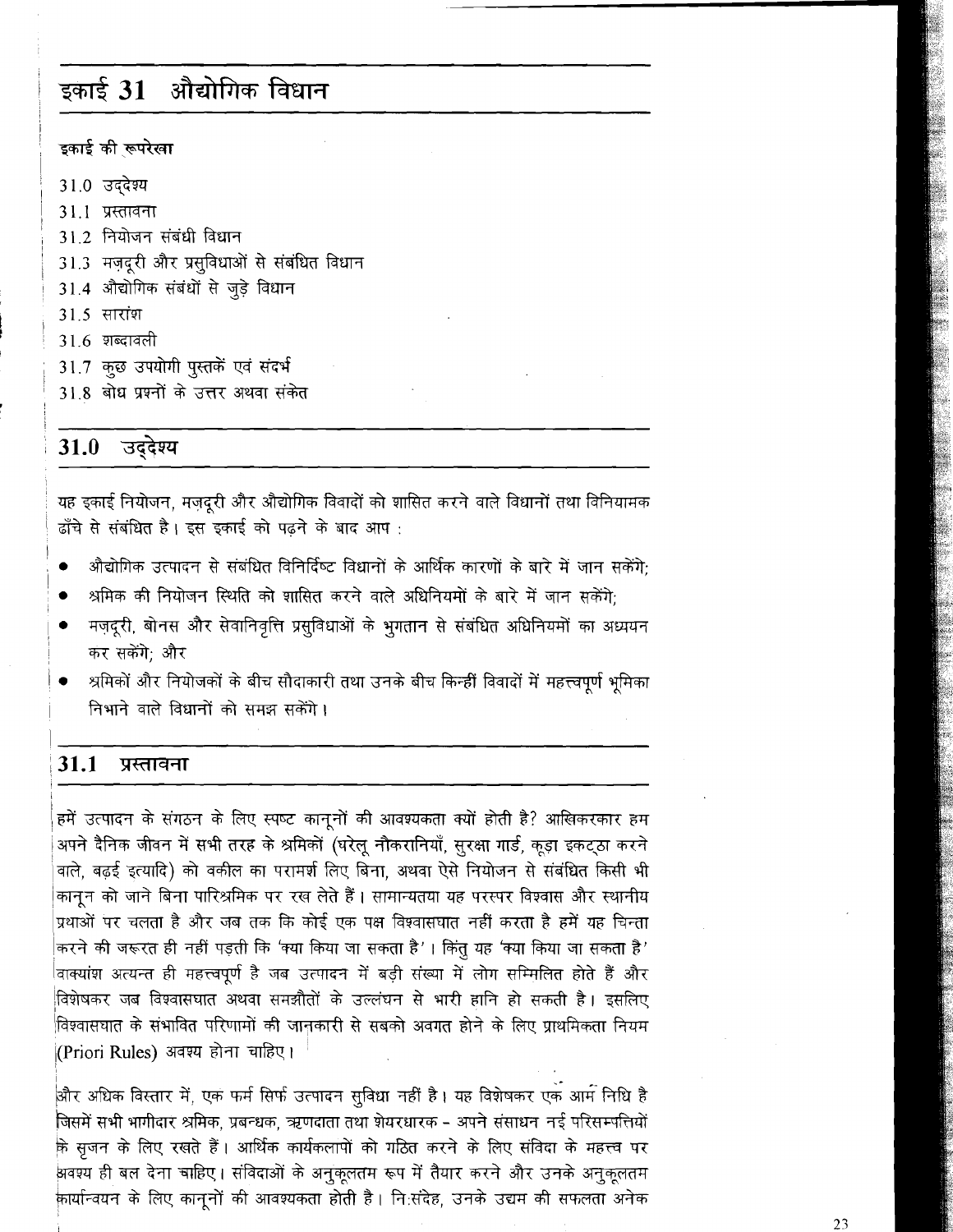# इकाई 31 औद्योगिक विधान

### इकाई की रूपरेखा

31.0 उददेश्य

- 31.1 प्रस्तावना
- 312 नियोजन संबंधी विधान
- 31.3 मज़दूरी और प्रसुविधाओं से संबंधित विधान
- 31.4 औद्योगिक संबंधों से जुड़े विधान
- 31.5 सारांश
- 31.6 शब्दावली
- 31.7 कुछ उपयोगी पुस्तकें एवं संदर्भ
- 31.8 बोध प्रश्नों के उत्तर अथवा संकेत

# 31.0 उद्देश्य

यह इकाई नियोजन, मजदुरी और औद्योगिक विवादों को शासित करने वाले विधानों तथा विनियामक ढाँचे से संबंधित है। इस इकाई को पढने के बाद आप:

- औद्योगिक उत्पादन से संबंधित विनिर्दिष्ट विधानों के आर्थिक कारणों के बारे में जान सकेंगे:
- श्रमिक की नियोजन स्थिति को शासित करने वाले अधिनियमों के बारे में जान सकेंगे:
- मज़दूरी, बोनस और सेवानिवृत्ति प्रसुविधाओं के भुगतान से संबंधित अधिनियमों का अध्ययन कर सकेंगे: और
- श्रमिकों और नियोजकों के बीच सौदाकारी तथा उनके बीच किन्हीं विवादों में महत्त्वपूर्ण भूमिका निभाने वाले विधानों को समझ सकेंगे।

#### 31.1 प्रस्तावना

हमें उत्पादन के संगठन के लिए स्पष्ट कानूनों की आवश्यकता क्यों होती है? आखिकरकार हम अपने दैनिक जीवन में सभी तरह के श्रमिकों (घरेलू नौकरानियाँ, सुरक्षा गार्ड, कूड़ा इकट्ठा करने वाले, बढ़ई इत्यादि) को वकील का परामर्श लिए बिना, अथवा ऐसे नियोजन से संबंधित किसी भी .<br>|कानून को जाने बिना पारिश्रमिक पर रख लेते हैं। सामान्यतया यह परस्पर विश्वास और स्थानीय प्रथाओं पर चलता है और जब तक कि कोई एक पक्ष विश्वासघात नहीं करता है हमें यह चिन्ता |करने की जरूरत ही नहीं पड़ती कि 'क्या किया जा सकता है' । किंतु यह 'क्या किया जा सक<mark>ता</mark> है' वाक्यांश अत्यन्त ही महत्त्वपूर्ण है जब उत्पादन में बड़ी संख्या में लोग सम्मिलित होते हैं और विशेषकर जब विश्वासघात अथवा समझौतों के उल्लंघन से भारी हानि हो सकती है। इसलिए विश्वासघात के संभावित परिणामों की जानकारी से सबको अवगत होने के लिए प्राथमिकता नियम |(Priori Rules) अवश्य होना चाहिए।

और अधिक विस्तार में, एक फर्म सिर्फ उत्पादन सुविधा नहीं है। यह विशेषकर एक आर्म निधि है जिसमें सभी भागीदार श्रमिक, प्रबन्धक, ऋणदाता तथा शेयरधारक - अपने संसाधन नई परिसम्पत्तियों के सृजन के लिए रखते हैं। आर्थिक कार्यकलापों को गठित करने के लिए संविदा के महत्त्व पर अवश्य ही बल देना चाहिए। संविदाओं के अनुकूलतम रूप में तैयार करने और उनके अनुकूलतम कार्यान्वयन के लिए कानूनों की आवश्यकता होती है। नि:संदेह, उनके उद्यम की सफलता अनेक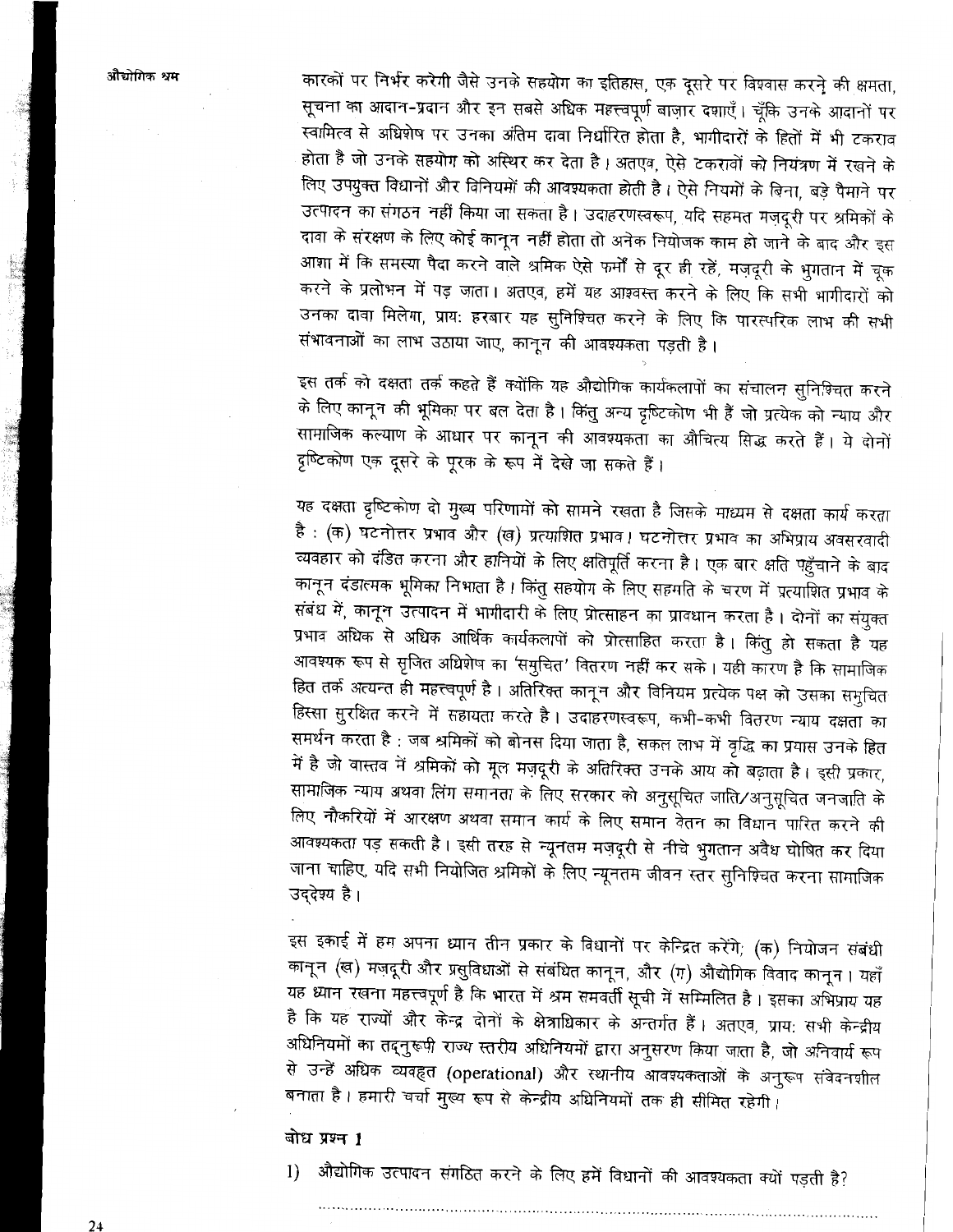कारकों पर निर्भर करेगी जैसे उनके सहयोग का इतिहास, एक दूसरे पर विश्वास करने की क्षमता, सूचना का आदान-प्रदान और इन सबसे अधिक महत्त्वपूर्ण बाज़ार दशाएँ। चूँकि उनके आदानों पर स्वामित्व से अधिशेष पर उनका अंतिम दावा निर्धारित होता है, भागीदारों के हितों में भी टकराव होता है जो उनके सहयोग को अस्थिर कर देता है। अतएव, ऐसे टकरावों को नियंत्रण में रखने के लिए उपयुक्त विधानों और विनियमों की आवश्यकता होती है। ऐसे नियमों के बिना, बड़े पैमाने पर उत्पादन का संगठन नहीं किया जा सकता है। उदाहरणस्वरूप, यदि सहमत मज़दूरी पर श्रमिकों के दावा के संरक्षण के लिए कोई कानून नहीं होता तो अनेक नियोजक काम हो जाने के बाद और इस आशा में कि समस्या पैदा करने वाले श्रमिक ऐसे फर्मों से दूर ही रहें, मज़दूरी के भुगतान में चूक करने के प्रलोभन में पड़ जाता। अतएव, हमें यह आश्वस्त करने के लिए कि सभी भागीदारों को उनका दावा मिलेगा, प्राय: हरबार यह सुनिश्चित करने के लिए कि पारस्परिक लाभ की सभी संभावनाओं का लाभ उठाया जाए, कानून की आवश्यकता पड़ती है।

इस तर्क को दक्षता तर्क कहते हैं क्योंकि यह औद्योगिक कार्यकलापों का संचालन सुनिश्चित करने के लिए कानून की भूमिका पर बल देता है। किंतु अन्य दृष्टिकोण भी हैं जो प्रत्येक को न्याय और सामाजिक कल्याण के आधार पर कानून की आवश्यकता का औचित्य सिद्ध करते हैं। ये दोनों दृष्टिकोण एक दूसरे के पूरक के रूप में देखे जा सकते हैं।

यह दक्षता दृष्टिकोण दो मुख्य परिणामों को सामने रखता है जिसके माध्यम से दक्षता कार्य करता है : (क) घटनोत्तर प्रभाव और (ख) प्रत्याशित प्रभाव। घटनोत्तर प्रभाव का अभिप्राय अवसरवादी व्यवहार को दंडित करना और हानियों के लिए क्षतिपूर्ति करना है। एक बार क्षति पहुँचाने के बाद कानून दंडात्मक भूमिका निभाता है। किंतु सहयोग के लिए सहमति के चरण में प्रत्याशित प्रभाव के संबंध में, कानून उत्पादन में भागीदारी के लिए प्रोत्साहन का प्रावधान करता है। दोनों का संयुक्त प्रभाव अधिक से अधिक आर्थिक कार्यकलापों को प्रोत्साहित करता है। किंतु हो सकता है यह आवश्यक रूप से सृजित अधिशेष का 'समुचित' वितरण नहीं कर सके। यही कारण है कि सामाजिक हित तर्क अत्यन्त ही महत्त्वपूर्ण है। अतिरिक्त कानून और विनियम प्रत्येक पक्ष को उसका समुचित हिस्सा सुरक्षित करने में सहायता करते है। उदाहरणस्वरूप, कभी-कभी वितरण न्याय दक्षता का समर्थन करता है : जब श्रमिकों को बोनस दिया जाता है, सकल लाभ में वृद्धि का प्रयास उनके हित में है जो वास्तव में श्रमिकों को मूल मज़दूरी के अतिरिक्त उनके आय को बढ़ाता है। इसी प्रकार, सामाजिक न्याय अथवा लिंग समानता के लिए सरकार को अनुसूचित जाति/अनुसूचित जनजाति के लिए नौकरियों में आरक्षण अथवा समान कार्य के लिए समान वेतन का विधान पारित करने की आवश्यकता पड़ सकती है। इसी तरह से न्यूनतम मज़दूरी से नीचे भुगतान अवैध घोषित कर दिया जाना चाहिए, यदि सभी नियोजित श्रमिकों के लिए न्यूनतम जीवन स्तर सुनिश्चित करना सामाजिक उद्देश्य है।

इस इकाई में हम अपना ध्यान तीन प्रकार के विधानों पर केन्द्रित करेंगे; (क) नियोजन संबंधी कानून (ख) मज़दूरी और प्रसुविधाओं से संबंधित कानून, और (ग) औद्योगिक विवाद कानून । यहाँ यह ध्यान रखना महत्त्वपूर्ण है कि भारत में श्रम समवर्ती सूची में सम्मिलित है। इसका अभिप्राय यह है कि यह राज्यों और केन्द्र दोनों के क्षेत्राधिकार के अन्तर्गत हैं। अतएव, प्राय: सभी केन्द्रीय अधिनियमों का तद्नुरूपी राज्य स्तरीय अधिनियमों द्वारा अनुसरण किया जाता है, जो अनिवार्य रूप से उन्हें अधिक व्यवहृत (operational) और स्थानीय आवश्यकताओं के अनुरूप संवेदनशील बनाता है। हमारी चर्चा मुख्य रूप से केन्द्रीय अधिनियमों तक ही सीमित रहेगी।

## बोध प्रश्न 1

1) औद्योगिक उत्पादन संगठित करने के लिए हमें विधानों की आवश्यकता क्यों पड़ती है?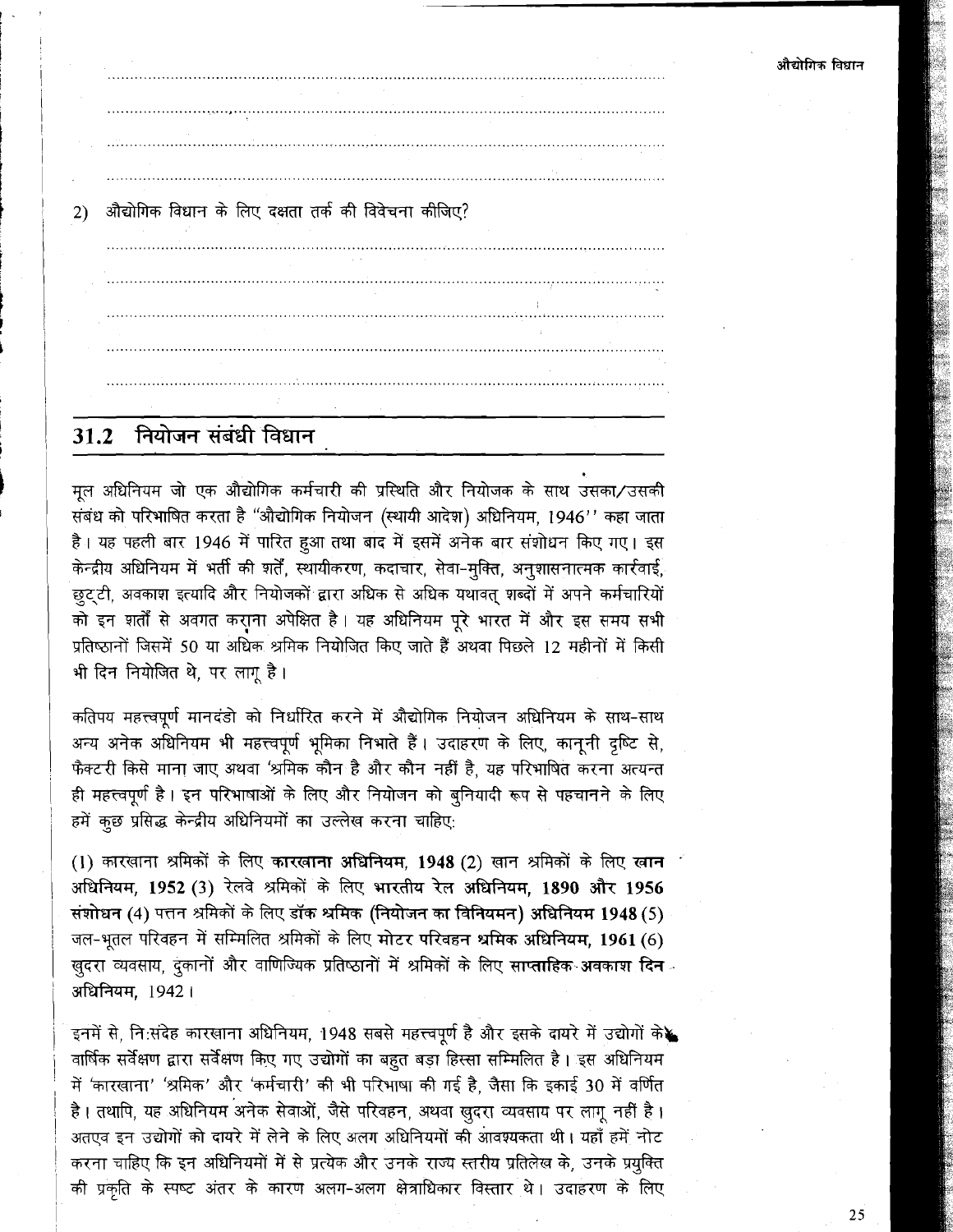औद्योगिक विधान के लिए दक्षता तर्क की विवेचना कीजिए?  $(2)$ 

#### नियोजन संबंधी विधान  $31.2$

मल अधिनियम जो एक औद्योगिक कर्मचारी की प्रस्थिति और नियोजक के साथ उसका/उसकी संबंध को परिभाषित करता है "औद्योगिक नियोजन (स्थायी आदेश) अधिनियम, 1946'' कहा जाता है। यह पहली बार 1946 में पारित हुआ तथा बाद में इसमें अनेक बार संशोधन किए गए। इस केन्द्रीय अधिनियम में भर्ती की शर्तें, स्थायीकरण, कदाचार, सेवा-मक्ति, अनुशासनात्मक कार्रवाई, .<br>छुट्टी, अवकाश इत्यादि और नियोजकों द्वारा अधिक से अधिक यथावत् शब्दों में अपने कर्मचारियों को इन शर्तों से अवगत कराना अपेक्षित है। यह अधिनियम पूरे भारत में और इस समय सभी प्रतिष्ठानों जिसमें 50 या अधिक श्रमिक नियोजित किए जाते हैं अथवा पिछले 12 महीनों में किसी भी दिन नियोजित थे. पर लाग है।

कतिपय महत्त्वपूर्ण मानदंडो को निर्धारित करने में औद्योगिक नियोजन अधिनियम के साथ-साथ अन्य अनेक अधिनियम भी महत्त्वपूर्ण भूमिका निभाते हैं। उदाहरण के लिए, कानूनी दृष्टि से, फैक्टरी किसे माना जाए अथवा 'श्रमिक कौन है और कौन नहीं है, यह परिभाषित करना अत्यन्त ही महत्त्वपूर्ण है। इन परिभाषाओं के लिए और नियोजन को बुनियादी रूप से पहचानने के लिए हमें कुछ प्रसिद्ध केन्द्रीय अधिनियमों का उल्लेख करना चाहिए:

(1) कारखाना श्रमिकों के लिए कारखाना अधिनियम, 1948 (2) खान श्रमिकों के लिए खान अधिनियम, 1952 (3) रेलवे श्रमिकों के लिए भारतीय रेल अधिनियम, 1890 और 1956 संशोधन (4) पत्तन श्रमिकों के लिए डॉक श्रमिक (नियोजन का विनियमन) अधिनियम 1948 (5) जल-भृतल परिवहन में सम्मिलित श्रमिकों के लिए मोटर परिवहन श्रमिक अधिनियम, 1961 (6) खुदरा व्यवसाय, दुकानों और वाणिज्यिक प्रतिष्ठानों में श्रमिकों के लिए साप्ताहिक अवकाश दिन<sup>ु</sup> अधिनियम, 1942।

इनमें से, नि:संदेह कारखाना अधिनियम, 1948 सबसे महत्त्वपूर्ण है और इसके दायरे में उद्योगों के वार्षिक सर्वेक्षण द्वारा सर्वेक्षण किए गए उद्योगों का बहुत बड़ा हिस्सा सम्मिलित है। इस अधिनियम में 'कारखाना' 'श्रमिक' और 'कर्मचारी' की भी परिभाषा की गई है, जैसा कि इकाई 30 में वर्णित है। तथापि, यह अधिनियम अनेक सेवाओं, जैसे परिवहन, अथवा खुदरा व्यवसाय पर लागू नहीं है। अतएव इन उद्योगों को दायरे में लेने के लिए अलग अधिनियमों की आवश्यकता थी। यहाँ हमें नोट करना चाहिए कि इन अधिनियमों में से प्रत्येक और उनके राज्य स्तरीय प्रतिलेख के, उनके प्रयुक्ति की प्रकृति के स्पष्ट अंतर के कारण अलग-अलग क्षेत्राधिकार विस्तार थे। उदाहरण के लिए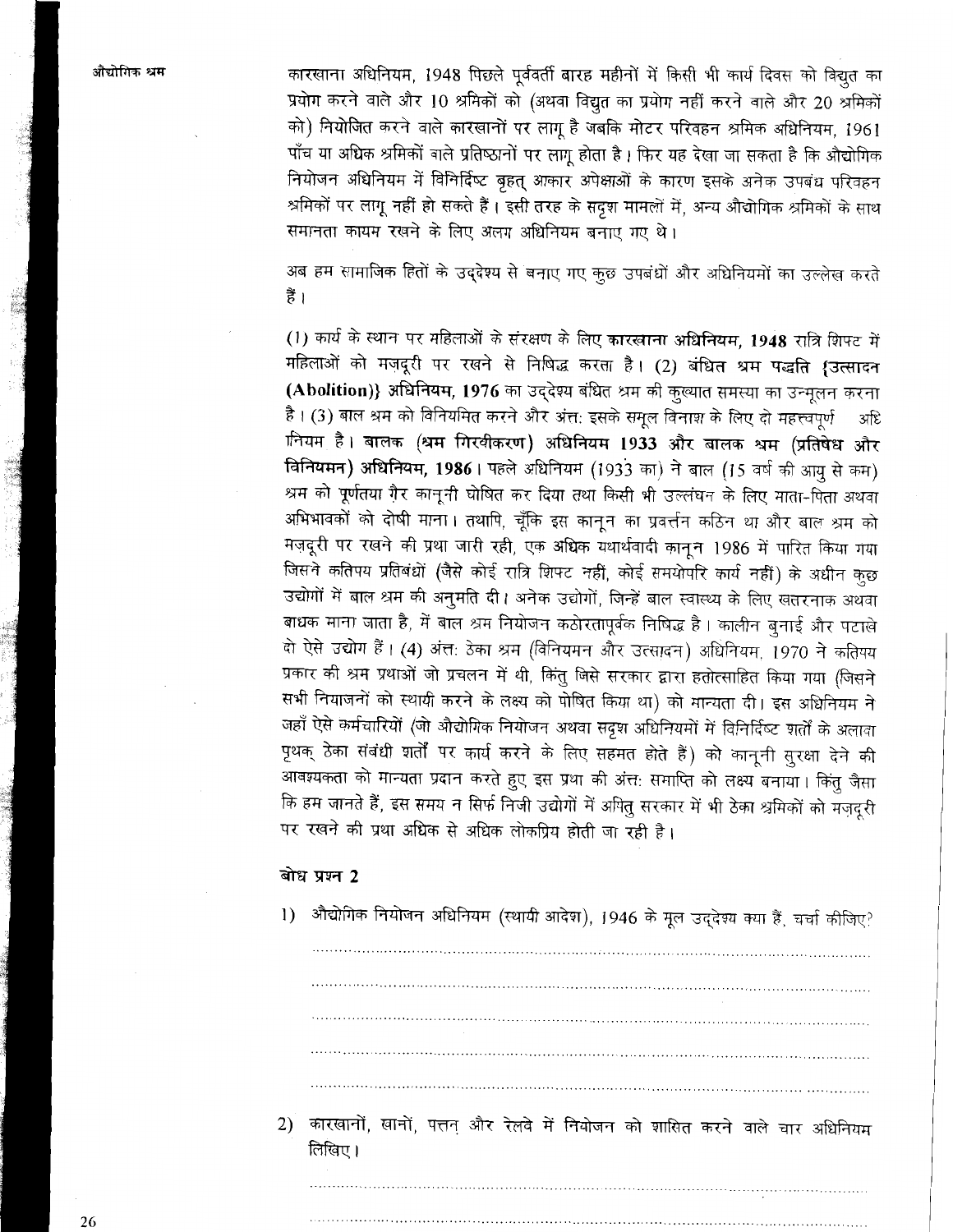कारखाना अधिनियम, 1948 पिछले पूर्ववर्ती बारह महीनों में किसी भी कार्य दिवस को विद्युत का प्रयोग करने वाले और 10 श्रमिकों को (अथवा विद्युत का प्रयोग नहीं करने वाले और 20 श्रमिकों को) नियोजित करने वाले कारखानों पर लागू है जबकि मोटर परिवहन श्रमिक अधिनियम, 1961 पाँच या अधिक श्रमिकों वाले प्रतिष्ठानों पर लागू होता है। फिर यह देखा जा सकता है कि औद्योगिक नियोजन अधिनियम में विनिर्दिष्ट बृहत् आकार अपेक्षाओं के कारण इसके अनेक उपबंध परिवहन श्रमिकों पर लागू नहीं हो सकते हैं। इसी तरह के सदृश मामलों में, अन्य औद्योगिक श्रमिकों के साथ समानता कायम रखने के लिए अलग अधिनियम बनाए गए थे।

अब हम सामाजिक हितों के उद्देश्य से बनाए गए कुछ उपबंधों और अधिनियमों का उल्लेख करते हैं ।

(1) कार्य के स्थान पर महिलाओं के संरक्षण के लिए कारखाना अधिनियम, 1948 रात्रि शिफ्ट में महिलाओं को मज़दूरी पर रखने से निषिद्ध करता है। (2) बंधित श्रम पद्धति {उत्सादन (Abolition)} अधिनियम, 1976 का उद्देश्य बंधित श्रम की कुल्यात समस्या का उन्मूलन करना है। (3) बाल श्रम को विनियमित करने और अंत: इसके समुल विनाश के लिए दो महत्त्वपर्ण अधि ानियम है। बालक (श्रम गिरवीकरण) अधिनियम 1933 और बालक श्रम (प्रतिषेध और विनियमन) अधिनियम, 1986। पहले अधिनियम (1933 का) ने बाल (15 वर्ष की आयु से कम) श्रम को पूर्णतया ग़ैर कानूनी घोषित कर दिया तथा किसी भी उल्लंघन के लिए माता-पिता अथवा अभिभावकों को दोषी माना। तथापि, चूँकि इस कानन का प्रवर्त्तन कठिन था और बाल श्रम को मज़दूरी पर रखने की प्रथा जारी रही, एक अधिक यथार्थवादी कानून 1986 में पारित किया गया जिसने कतिपय प्रतिबंधों (जैसे कोई रात्रि शिफ्ट नहीं, कोई समयोपरि कार्य नहीं) के अधीन कछ उद्योगों में बाल श्रम की अनुमति दी। अनेक उद्योगों, जिन्हें बाल स्वास्थ्य के लिए खतरनाक अथवा बाधक माना जाता है, में बाल श्रम नियोजन कठोरतापूर्वक निषिद्ध है। कालीन बुनाई और पटाखे दो ऐसे उद्योग हैं। (4) अंत: ठेका श्रम (विनियमन और उत्सादन) अधिनियम, 1970 ने कतिपय प्रकार की श्रम प्रथाओं जो प्रचलन में थी, किंतु जिसे सरकार द्वारा हतोत्साहित किया गया (जिसने सभी नियाजनों को स्थायी करने के लक्ष्य को पोषित किया था) को मान्यता दी। इस अधिनियम ने जहाँ ऐसे कर्मचारियों (जो औद्योगिक नियोजन अथवा सदृश अधिनियमों में विनिर्दिष्ट शर्तों के अलावा पृथक् ठेका संबंधी शर्तों पर कार्य करने के लिए सहमत होते हैं) को कानूनी सुरक्षा देने की आवश्यकता को मान्यता प्रदान करते हुए इस प्रथा की अंत: समाप्ति को लक्ष्य बनाया। किंतु जैसा कि हम जानते हैं, इस समय न सिर्फ निजी उद्योगों में अपितु सरकार में भी ठेका श्रमिकों को मजदूरी पर रखने की प्रथा अधिक से अधिक लोकप्रिय होती जा रही है।

#### बोध प्रश्न 2

1) औद्योगिक नियोजन अधिनियम (स्थायी आदेश), 1946 के मूल उद्देश्य क्या हैं, चर्चा कीजिए? 2) कारखानों, खानों, पत्तन और रेलवे में नियोजन को शासित करने वाले चार अधिनियम लिखिए।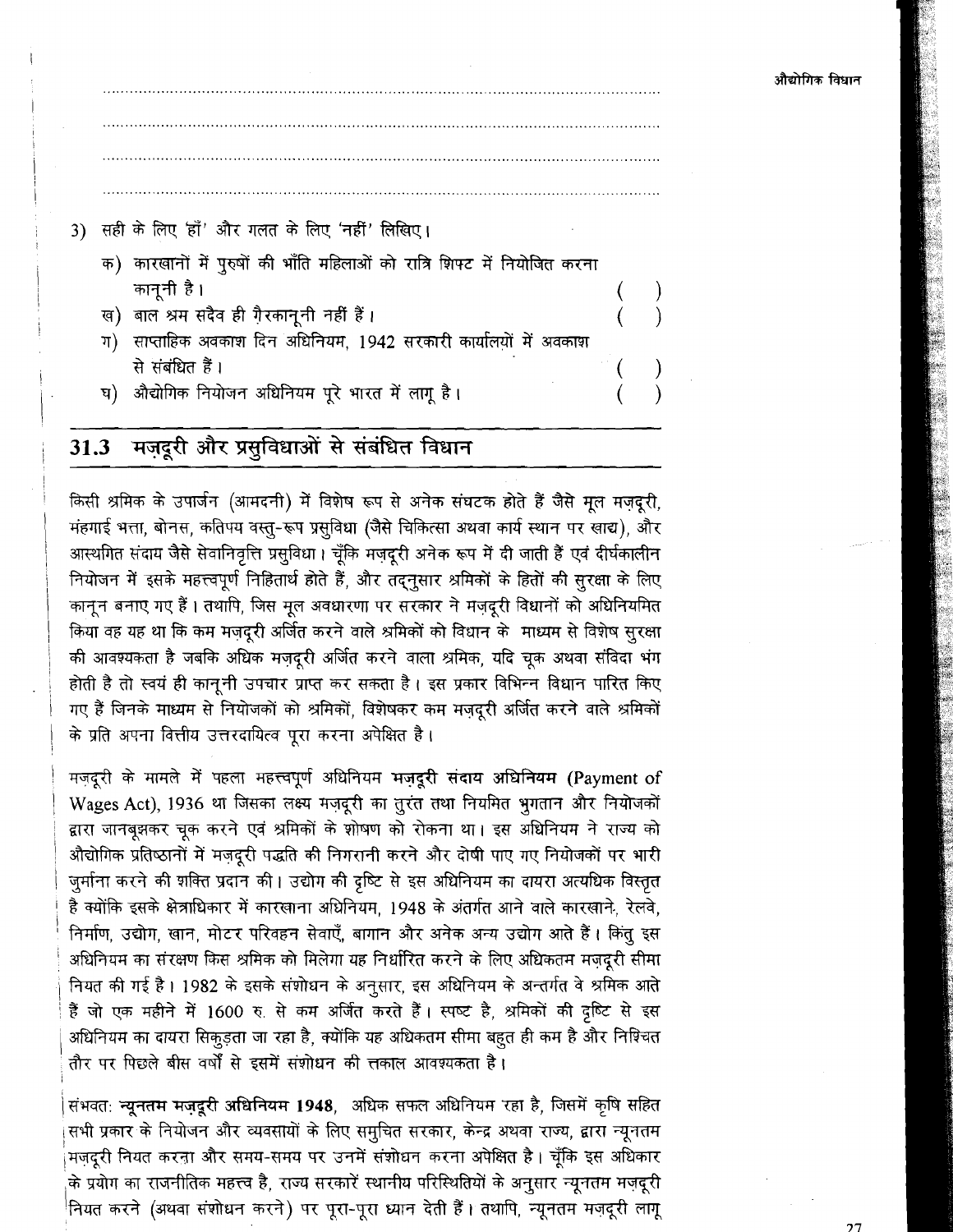## 3) सही के लिए 'हाँ' और गलत के लिए 'नहीं' लिखिए।

- क) कारखानों में पुरुषों की भाँति महिलाओं को रात्रि शिफ्ट में नियोजित करना कानूनी है ।
- ख) बाल श्रम सदैव ही गै़रकानूनी नहीं हैं।
- ग) साप्ताहिक अवकाश दिन अधिनियम, 1942 सरकारी कार्यालयों में अवकाश से संबंधित हैं।
- घ) औद्योगिक नियोजन अधिनियम पूरे भारत में लागू है।

#### मज़दूरी और प्रसुविधाओं से संबंधित विधान  $31.3$

किसी श्रमिक के उपार्जन (आमदनी) में विशेष रूप से अनेक संघटक होते हैं जैसे मूल मज़दूरी, मंहगाई भत्ता, बोनस, कतिपय वस्तु-रूप प्रसुविधा (जैसे चिकित्सा अथवा कार्य स्थान पर खाद्य), और आस्थगित संदाय जैसे सेवानिवृत्ति प्रसुविधा। चूँकि मज़दूरी अनेक रूप में दी जाती हैं एवं दीर्घकालीन नियोजन में इसके महत्त्वपूर्ण निहितार्थ होते हैं, और तद्नुसार श्रमिकों के हितों की सुरक्षा के लिए कानून बनाए गए हैं। तथापि, जिस मूल अवधारणा पर सरकार ने मजदूरी विधानों को अधिनियमित किया वह यह था कि कम मजदरी अर्जित करने वाले श्रमिकों को विधान के माध्यम से विशेष सुरक्षा की आवश्यकता है जबकि अधिक मज़दूरी अर्जित करने वाला श्रमिक, यदि चूक अथवा संविदा भंग होती है तो स्वयं ही कानूनी उपचार प्राप्त कर सकता है। इस प्रकार विभिन्न विधान पारित किए गए हैं जिनके माध्यम से नियोजकों को श्रमिकों, विशेषकर कम मज़दूरी अर्जित करने वाले श्रमिकों के प्रति अपना वित्तीय उत्तरदायित्व पूरा करना अपेक्षित है।

मज़दूरी के मामले में पहला महत्त्वपूर्ण अधिनियम मज़दूरी संदाय अधिनियम (Payment of Wages Act), 1936 था जिसका लक्ष्य मज़दूरी का तूरंत तथा नियमित भूगतान और नियोजकों द्वारा जानबूझकर चूक करने एवं श्रमिकों के शोषण को रोकना था। इस अधिनियम ने राज्य को औद्योगिक प्रतिष्ठानों में मज़दूरी पद्धति की निगरानी करने और दोषी पाए गए नियोजकों पर भारी जुर्माना करने की शक्ति प्रदान की। उद्योग की दृष्टि से इस अधिनियम का दायरा अत्यधिक विस्तृत है क्योंकि इसके क्षेत्राधिकार में कारखाना अधिनियम, 1948 के अंतर्गत आने वाले कारखाने, रेलवे, निर्माण, उद्योग, खान, मोटर परिवहन सेवाएँ, बागान और अनेक अन्य उद्योग आते हैं। किंतु इस अधिनियम का संरक्षण किस श्रमिक को मिलेगा यह निर्धारित करने के लिए अधिकतम मज़दूरी सीमा नियत की गई है। 1982 के इसके संशोधन के अनुसार, इस अधिनियम के अन्तर्गत वे श्रमिक आते हैं जो एक महीने में 1600 रु. से कम अर्जित करते हैं। स्पष्ट है, श्रमिकों की दृष्टि से इस अधिनियम का दायरा सिकूड़ता जा रहा है, क्योंकि यह अधिकतम सीमा बहुत ही कम है और निश्चित तौर पर पिछले बीस वर्षों से इसमें संशोधन की त्तकाल आवश्यकता है।

संभवत: न्यूनतम मज़दूरी अधिनियम 1948, अधिक सफल अधिनियम रहा है, जिसमें कृषि सहित सभी प्रकार के नियोजन और व्यवसायों के लिए समुचित सरकार, केन्द्र अथवा राज्य, द्वारा न्यूनतम मज़दूरी नियत करना और समय-समय पर उनमें संशोधन करना अपेक्षित है। चूँकि इस अधिकार के प्रयोग का राजनीतिक महत्त्व है, राज्य सरकारें स्थानीय परिस्थितियों के अनुसार न्यूनतम मज़दूरी <sup>!</sup>नियत करने (अथवा संशोधन करने) पर पूरा-पूरा ध्यान देती हैं। तथापि, न्यूनतम मज़दूरी लागू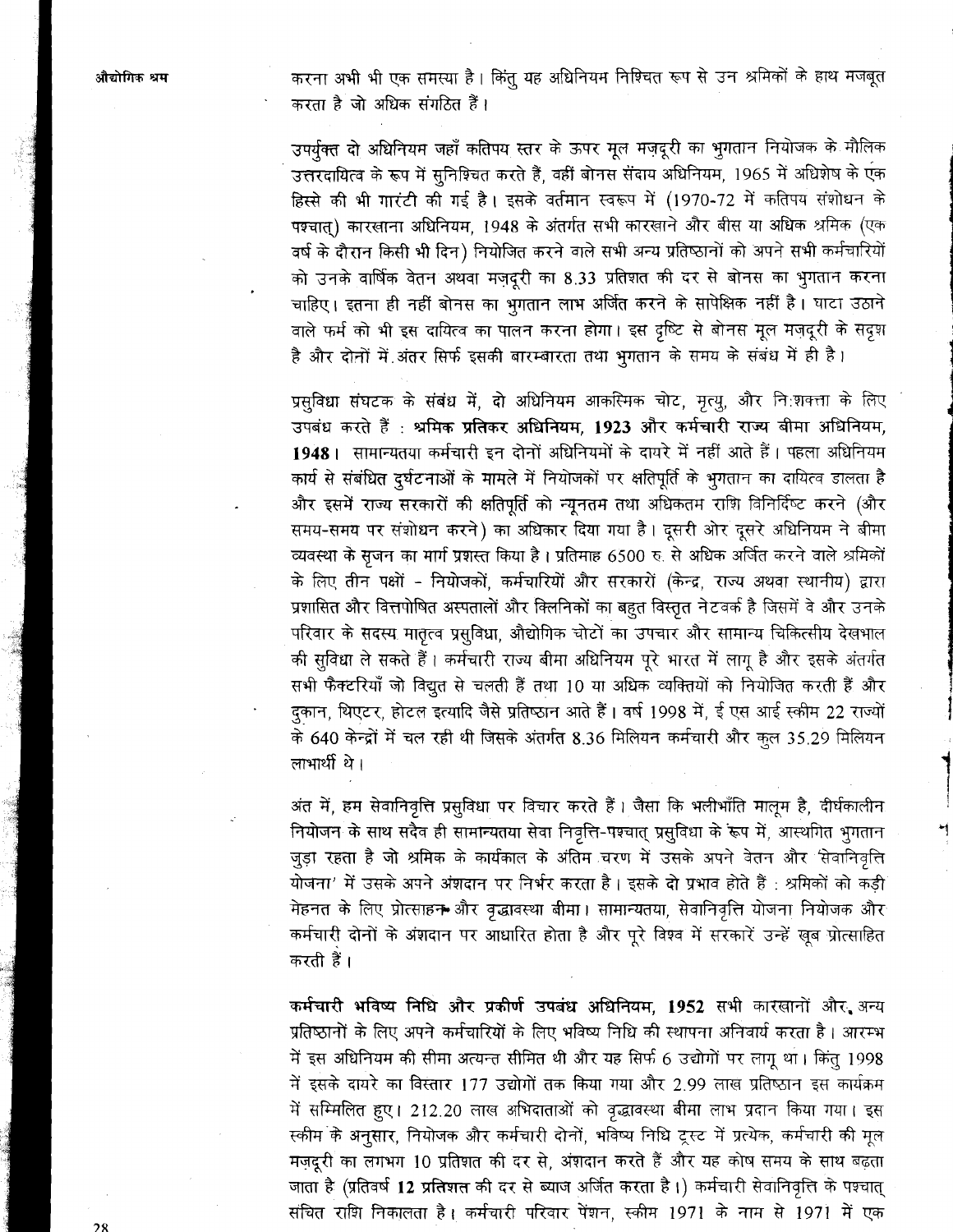करना अभी भी एक समस्या है। किंतु यह अधिनियम निश्चित रूप से उन श्रमिकों के हाथ मजबूत करता है जो अधिक संगठित हैं।

उपर्यक्त दो अधिनियम जहाँ कतिपय स्तर के ऊपर मूल मज़दूरी का भूगतान नियोजक के मौलिक उत्तरदायित्व के रूप में सुनिश्चित करते हैं, वहीं बोनस संदाय अधिनियम, 1965 में अधिशेष के एक हिस्से की भी गारंटी की गई है। इसके वर्तमान स्वरूप में (1970-72 में कतिपय संशोधन के पश्चात्) कारखाना अधिनियम, 1948 के अंतर्गत सभी कारखाने और बीस या अधिक श्रमिक (एक वर्ष के दौरान किसी भी दिन) नियोजित करने वाले सभी अन्य प्रतिष्ठानों को अपने सभी कर्मचारियों को उनके वार्षिक वेतन अथवा मज़दूरी का 8.33 प्रतिशत की दर से बोनस का भुगतान करना चाहिए। इतना ही नहीं बोनस का भुगतान लाभ अर्जित करने के सापेक्षिक नहीं है। घाटा उठाने वाले फर्म को भी इस दायित्व का पालन करना होगा। इस दृष्टि से बोनस मूल मज़दूरी के सदृश है और दोनों में अंतर सिर्फ इसकी बारम्बारता तथा भुगतान के समय के संबंध में ही है।

प्रसुविधा संघटक के संबंध में, दो अधिनियम आकस्मिक चोट, मृत्यू, और नि:शक्ता के लिए उपबंध करते हैं : श्रमिक प्रतिकर अधिनियम, 1923 और कर्मचारी राज्य बीमा अधिनियम, 1948। सामान्यतया कर्मचारी इन दोनों अधिनियमों के दायरे में नहीं आते हैं। पहला अधिनियम कार्य से संबंधित दुर्घटनाओं के मामले में नियोजकों पर क्षतिपूर्ति के भूगतान का दायित्व डालता है और इसमें राज्य सरकारों की क्षतिपूर्ति को न्यूनतम तथा अधिकतम राशि विनिर्दिष्ट करने (और समय-समय पर संशोधन करने) का अधिकार दिया गया है। दूसरी ओर दूसरे अधिनियम ने बीमा व्यवस्था के सृजन का मार्ग प्रशस्त किया है। प्रतिमाह 6500 रु. से अधिक अर्जित करने वाले श्रमिकों के लिए तीन पक्षों - नियोजकों, कर्मचारियों और सरकारों (केन्द्र, राज्य अथवा स्थानीय) द्वारा प्रशासित और वित्तपोषित अस्पतालों और क्लिनिकों का बहुत विस्तृत नेटवर्क है जिसमें वे और उनके परिवार के सदस्य मातृत्व प्रसुविधा, औद्योगिक चोटों का उपचार और सामान्य चिकित्सीय देखभाल की सुविधा ले सकते हैं। कर्मचारी राज्य बीमा अधिनियम पूरे भारत में लागू है और इसके अंतर्गत सभी फैक्टरियाँ जो विद्युत से चलती हैं तथा 10 या अधिक व्यक्तियों को नियोजित करती हैं और दुकान, थिएटर, होटल इत्यादि जैसे प्रतिष्ठान आते हैं। वर्ष 1998 में, ई एस आई स्कीम 22 राज्यों के 640 केन्द्रों में चल रही थी जिसके अंतर्गत 8.36 मिलियन कर्मचारी और कुल 35.29 मिलियन लाभार्थी थे।

अंत में, हम सेवानिवृत्ति प्रसुविधा पर विचार करते हैं। जैसा कि भलीभाँति मालूम है, दीर्घकालीन नियोजन के साथ सदैव ही सामान्यतया सेवा निवृत्ति-पश्चात् प्रसुविधा के रूप में, आस्थगित भुगतान जुड़ा रहता है जो श्रमिक के कार्यकाल के अंतिम चरण में उसके अपने वेतन और सिवानिवृत्ति योजना' में उसके अपने अंशदान पर निर्भर करता है। इसके दो प्रभाव होते हैं : श्रमिकों को कड़ी मेहनत के लिए प्रोत्साहन और वृद्धावस्था बीमा। सामान्यतया, सेवानिवृत्ति योजना नियोजक और कर्मचारी दोनों के अंशदान पर आधारित होता है और पूरे विश्व में सरकारें उन्हें खूब प्रोत्साहित करती हैं ।

कर्मचारी भविष्य निधि और प्रकीर्ण उपबंध अधिनियम, 1952 सभी कारखानों और अन्य प्रतिष्ठानों के लिए अपने कर्मचारियों के लिए भविष्य निधि की स्थापना अनिवार्य करता है। आरम्भ में इस अधिनियम की सीमा अत्यन्त सीमित थी और यह सिर्फ 6 उद्योगों पर लागू था। किंतु 1998 में इसके दायरे का विस्तार 177 उद्योगों तक किया गया और 2.99 लाख प्रतिष्ठान इस कार्यक्रम में सम्मिलित हुए। 212.20 लाख अभिदाताओं को वृद्धावस्था बीमा लाभ प्रदान किया गया। इस स्कीम के अनुसार, नियोजक और कर्मचारी दोनों, भविष्य निधि ट्रस्ट में प्रत्येक, कर्मचारी की मूल मज़दूरी का लगभग 10 प्रतिशत की दर से, अंशदान करते हैं और यह कोष समय के साथ बढ़ता जाता है (प्रतिवर्ष 12 प्रतिशत की दर से ब्याज अर्जित करता है।) कर्मचारी सेवानिवृत्ति के पश्चात् संचित राशि निकालता है। कर्मचारी परिवार पेंशन, स्कीम 1971 के नाम से 1971 में एक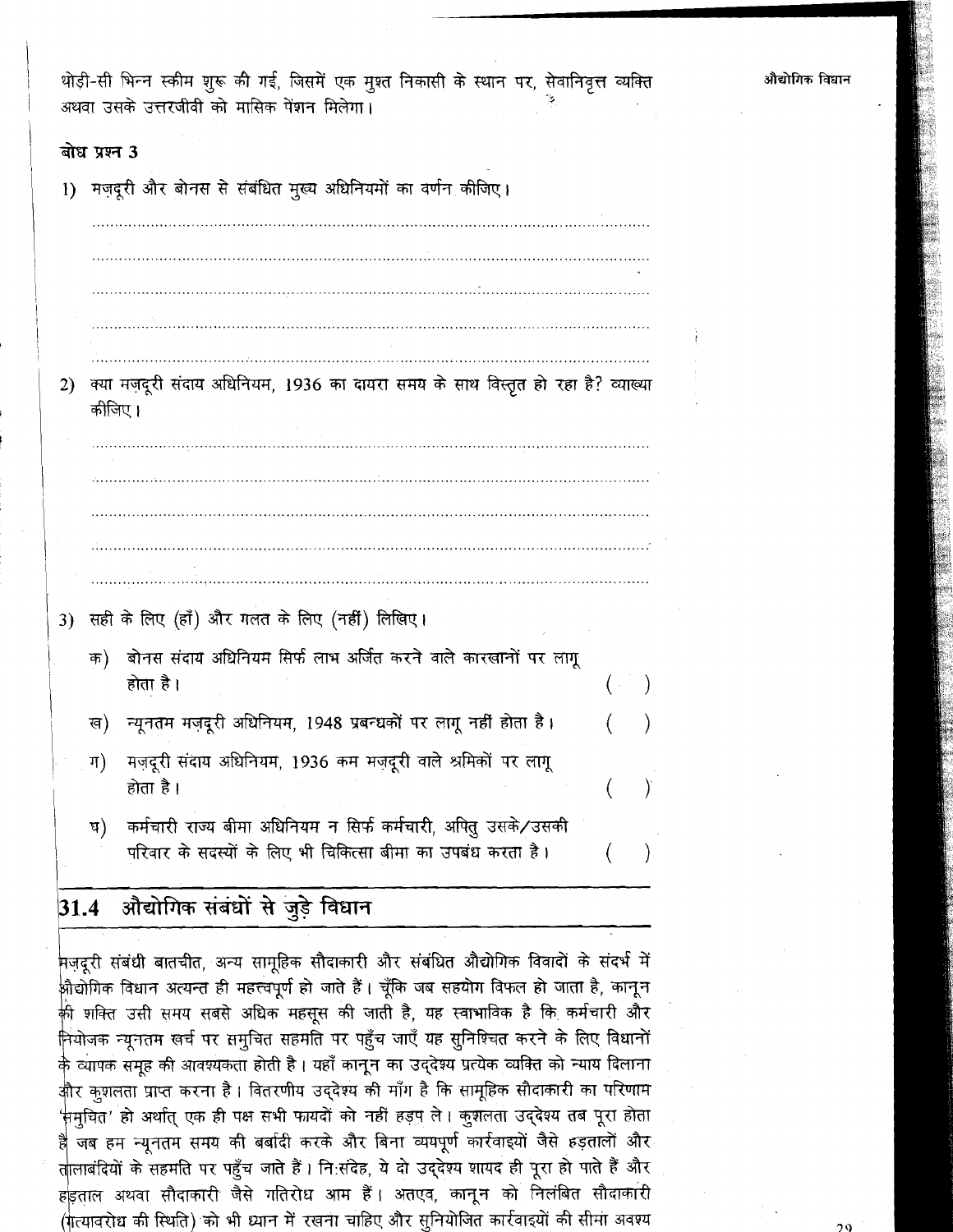थोड़ी-सी भिन्न स्कीम शुरू की गई, जिसमें एक मुश्त निकासी के स्थान पर, सेवानिवृत्त व्यक्ति अथवा उसके उत्तरजीवी को मासिक पेंशन मिलेगा।

### बोध प्रश्न 3

| $\bf{1}$ | मज़दूरी और बोनस से संबंधित मुख्य अधिनियमों का वर्णन कीजिए।                                 |                                                                           |  |   |  |  |  |  |
|----------|--------------------------------------------------------------------------------------------|---------------------------------------------------------------------------|--|---|--|--|--|--|
|          |                                                                                            |                                                                           |  |   |  |  |  |  |
|          |                                                                                            |                                                                           |  |   |  |  |  |  |
|          |                                                                                            |                                                                           |  |   |  |  |  |  |
|          |                                                                                            |                                                                           |  |   |  |  |  |  |
|          |                                                                                            |                                                                           |  |   |  |  |  |  |
| 2)       | क्या मज़दूरी संदाय अधिनियम, 1936 का दायरा समय के साथ विस्तृत हो रहा है? व्याख्या<br>कीजिए। |                                                                           |  |   |  |  |  |  |
|          |                                                                                            |                                                                           |  |   |  |  |  |  |
|          |                                                                                            |                                                                           |  |   |  |  |  |  |
|          |                                                                                            |                                                                           |  |   |  |  |  |  |
|          |                                                                                            |                                                                           |  |   |  |  |  |  |
|          |                                                                                            |                                                                           |  |   |  |  |  |  |
| 3)       |                                                                                            | सही के लिए (हाँ) और गलत के लिए (नहीं) लिखिए।                              |  |   |  |  |  |  |
|          | क)                                                                                         | बोनस संदाय अधिनियम सिर्फ लाभ अर्जित करने वाले कारखानों पर लागू            |  |   |  |  |  |  |
|          |                                                                                            | होता है ।                                                                 |  |   |  |  |  |  |
|          | ख)                                                                                         | न्यूनतम मज़दूरी अधिनियम, 1948 प्रबन्धकों पर लागू नहीं होता है।            |  |   |  |  |  |  |
|          | ग)                                                                                         | मज़दूरी संदाय अधिनियम, 1936 कम मज़दूरी वाले श्रमिकों पर लागू<br>होता है । |  | I |  |  |  |  |
|          | प)                                                                                         | कर्मचारी राज्य बीमा अधिनियम न सिर्फ कर्मचारी, अपितु उसके/उसकी             |  |   |  |  |  |  |
|          |                                                                                            | परिवार के सदस्यों के लिए भी चिकित्सा बीमा का उपबंध करता है।               |  |   |  |  |  |  |
|          |                                                                                            |                                                                           |  |   |  |  |  |  |

#### $31.4$ औद्योगिक संबंधों से जुड़े विधान

.<br>मज़दूरी संबंधी बातचीत, अन्य सामूहिक सौदाकारी और संबंधित औद्योगिक विवा<mark>दों</mark> के संदर्भ में .<br>औद्योगिक विधान अत्यन्त ही महत्त्वपूर्ण हो जाते हैं। चूँकि जब सहयोग विफल हो जाता है, कानून .<br>की शक्ति उसी समय सबसे अधिक महसूस की जाती है, यह स्वाभाविक है कि कर्मचारी और नियोजक न्यूनतम खर्च पर समुचित सहमति पर पहुँच जाएँ यह सुनिश्चित करने के लिए विधानों के व्यापक समूह की आवश्यकता होती है। यहाँ कानून का उद्देश्य प्रत्येक व्यक्ति को न्याय दिलाना और कुशलता प्राप्त करना है। वितरणीय उद्देश्य की माँग है कि सामूहिक सौदाकारी का परिणाम समूचित' हो अर्थात् एक ही पक्ष सभी फायदों को नहीं हड़प ले। कुशलता उद्देश्य तब पूरा होता है जब हम न्यूनतम समय की बर्बादी करके और बिना व्ययपूर्ण कार्रवाइयों जैसे हड़तालों और तालाबंदियों के सहमति पर पहुँच जाते हैं। नि:संदेह, ये दो उद्देश्य शायद ही पूरा हो पाते हैं और हड़ताल अथवा सौदाकारी जैसे गतिरोध आम हैं। अतएव, कानून को निलंबित सौदाकारी (गत्यावरोध की स्थिति) को भी ध्यान में रखना चाहिए और सुनियोजित कार्रवाइयों की सीमा अवश्य औद्योगिक विधान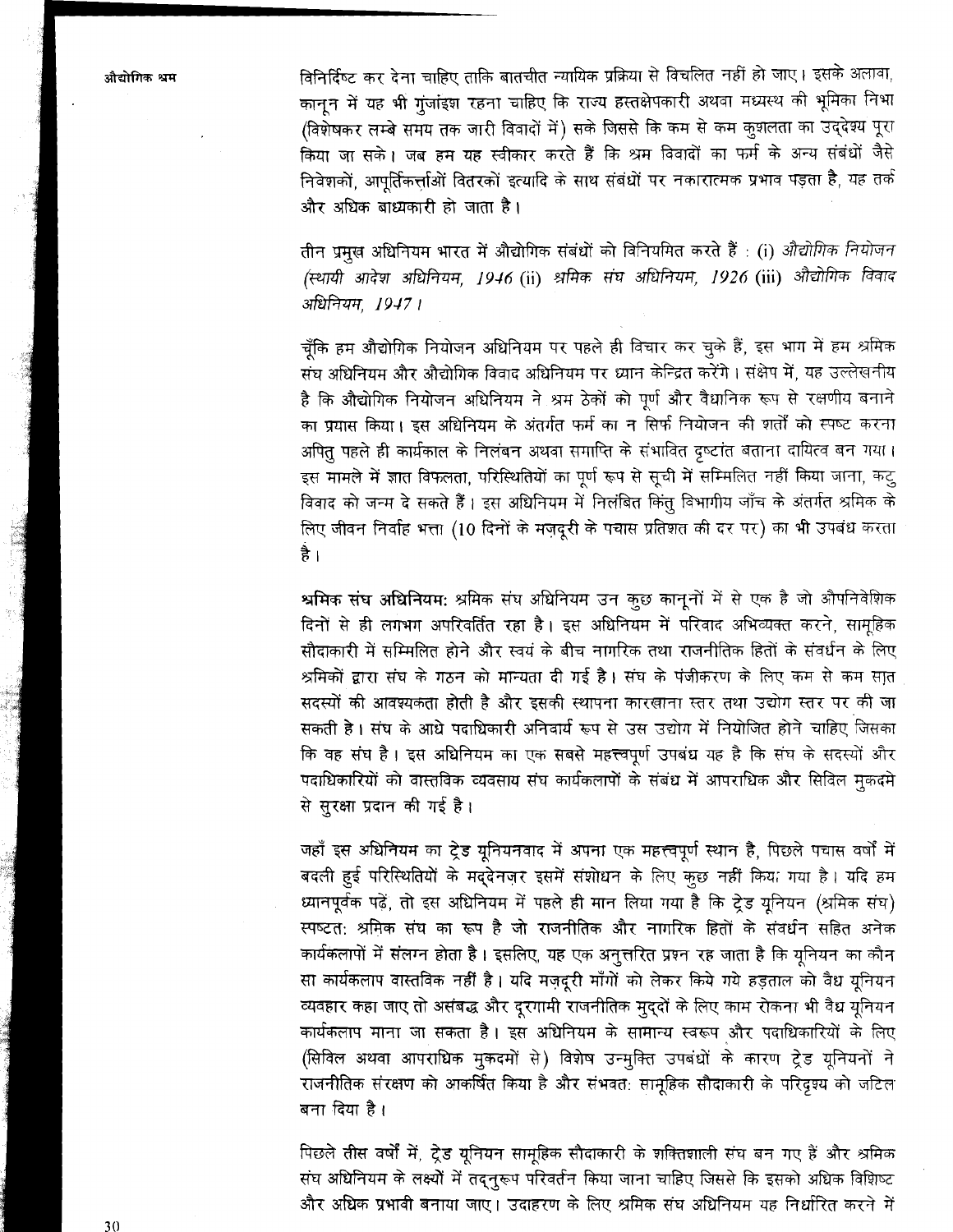.<br>औद्योगिक श्रम

विनिर्दिष्ट कर देना चाहिए ताकि बातचीत न्यायिक प्रक्रिया से विचलित नहीं हो जाए। इसके अलावा, कानून में यह भी गुंजांइश रहना चाहिए कि राज्य हस्तक्षेपकारी अथवा मध्यस्थ की भूमिका निभा (विशेषकर लम्बे समय तक जारी विवादों में) सके जिससे कि कम से कम कुशलता का उद्देश्य पूरा किया जा सके। जब हम यह स्वीकार करते हैं कि श्रम विवादों का फर्म के अन्य संबंधों जैसे निवेशकों, आपूर्तिकर्त्ताओं वितरकों इत्यादि के साथ संबंधों पर नकारात्मक प्रभाव पड़ता है, यह तर्क और अधिक बाध्यकारी हो जाता है।

तीन प्रमुख अधिनियम भारत में औद्योगिक संबंधों को विनियमित करते हैं : (i) औद्योगिक नियोजन (स्थायी आदेश अधिनियम, 1946 (ii) श्रमिक संघ अधिनियम, 1926 (iii) औद्योगिक विवाद अधिनियम, 1947।

चूँकि हम औद्योगिक नियोजन अधिनियम पर पहले ही विचार कर चुके हैं, इस भाग में हम श्रमिक संघ अधिनियम और औद्योगिक विवाद अधिनियम पर ध्यान केन्द्रित करेंगे। संक्षेप में, यह उल्लेखनीय है कि औद्योगिक नियोजन अधिनियम ने श्रम ठेकों को पूर्ण और वैधानिक रूप से रक्षणीय बनाने का प्रयास किया। इस अधिनियम के अंतर्गत फर्म का न सिर्फ नियोजन की शर्तों को स्पष्ट करना अपित पहले ही कार्यकाल के निलंबन अथवा समाप्ति के संभावित दृष्टांत बताना दायित्व बन गया। इस मामले में ज्ञात विफलता, परिस्थितियों का पूर्ण रूप से सूची में सम्मिलित नहीं किया जाना, कटु विवाद को जन्म दे सकते हैं। इस अधिनियम में निलंबित किंतु विभागीय जाँच के अंतर्गत श्रमिक के लिए जीवन निर्वाह भत्ता (10 दिनों के मजदूरी के पचास प्रतिशत की दर पर) का भी उपबंध करता है ।

श्रमिक संघ अधिनियम: श्रमिक संघ अधिनियम उन कुछ कानूनों में से एक है जो औपनिवेशिक दिनों से ही लगभग अपरिवर्तित रहा है। इस अधिनियम में परिवाद अभिव्यक्त करने, सामूहिक सौदाकारी में सम्मिलित होने और स्वयं के बीच नागरिक तथा राजनीतिक हितों के संवर्धन के लिए श्रमिकों द्वारा संघ के गठन को मान्यता दी गई है। संघ के पंजीकरण के लिए कम से कम सात सदस्यों की आवश्यकता होती है और इसकी स्थापना कारखाना स्तर तथा उद्योग स्तर पर की जा सकती है। संघ के आधे पदाधिकारी अनिवार्य रूप से उस उद्योग में नियोजित होने चाहिए जिसका कि वह संघ है। इस अधिनियम का एक सबसे महत्त्वपूर्ण उपबंध यह है कि संघ के सदस्यों और पदाधिकारियों को वास्तविक व्यवसाय संघ कार्यकलापों के संबंध में आपराधिक और सिविल मुकदमे से सुरक्षा प्रदान की गई है।

जहाँ इस अधिनियम का ट्रेड यूनियनवाद में अपना एक महत्त्वपूर्ण स्थान है, पिछले पचास वर्षों में बदली हुई परिस्थितियों के मद्देनज़र इसमें संशोधन के लिए कूछ नहीं किया गया है। यदि हम ध्यानपूर्वक पढ़ें, तो इस अधिनियम में पहले ही मान लिया गया है कि ट्रेड युनियन (श्रमिक संघ) स्पष्टत: श्रमिक संघ का रूप है जो राजनीतिक और नागरिक हितों के संवर्धन सहित अनेक कार्यकलापों में संलग्न होता है। इसलिए, यह एक अनुत्तरित प्रश्न रह जाता है कि यूनियन का कौन सा कार्यकलाप वास्तविक नहीं है। यदि मज़दूरी माँगों को लेकर किये गये हड़ताल को वैध यूनियन व्यवहार कहा जाए तो असंबद्ध और दूरगामी राजनीतिक मूद्दों के लिए काम रोकना भी वैध यूनियन कार्यकलाप माना जा सकता है। इस अधिनियम के सामान्य स्वरूप और पदाधिकारियों के लिए (सिविल अथवा आपराधिक मूकदमों से) विशेष उन्मुक्ति उपबंधों के कारण ट्रेड यूनियनों ने राजनीतिक संरक्षण को आकर्षित किया है और संभवत: सामूहिक सौदाकारी के परिदृश्य को जटिल बना दिया है।

पिछले तीस वर्षों में, ट्रेड यूनियन सामूहिक सौदाकारी के शक्तिशाली संघ बन गए हैं और श्रमिक संघ अधिनियम के लक्ष्यों में तदनुरूप परिवर्तन किया जाना चाहिए जिससे कि इसको अधिक विशिष्ट और अधिक प्रभावी बनाया जाए। उदाहरण के लिए श्रमिक संघ अधिनियम यह निर्धारित करने में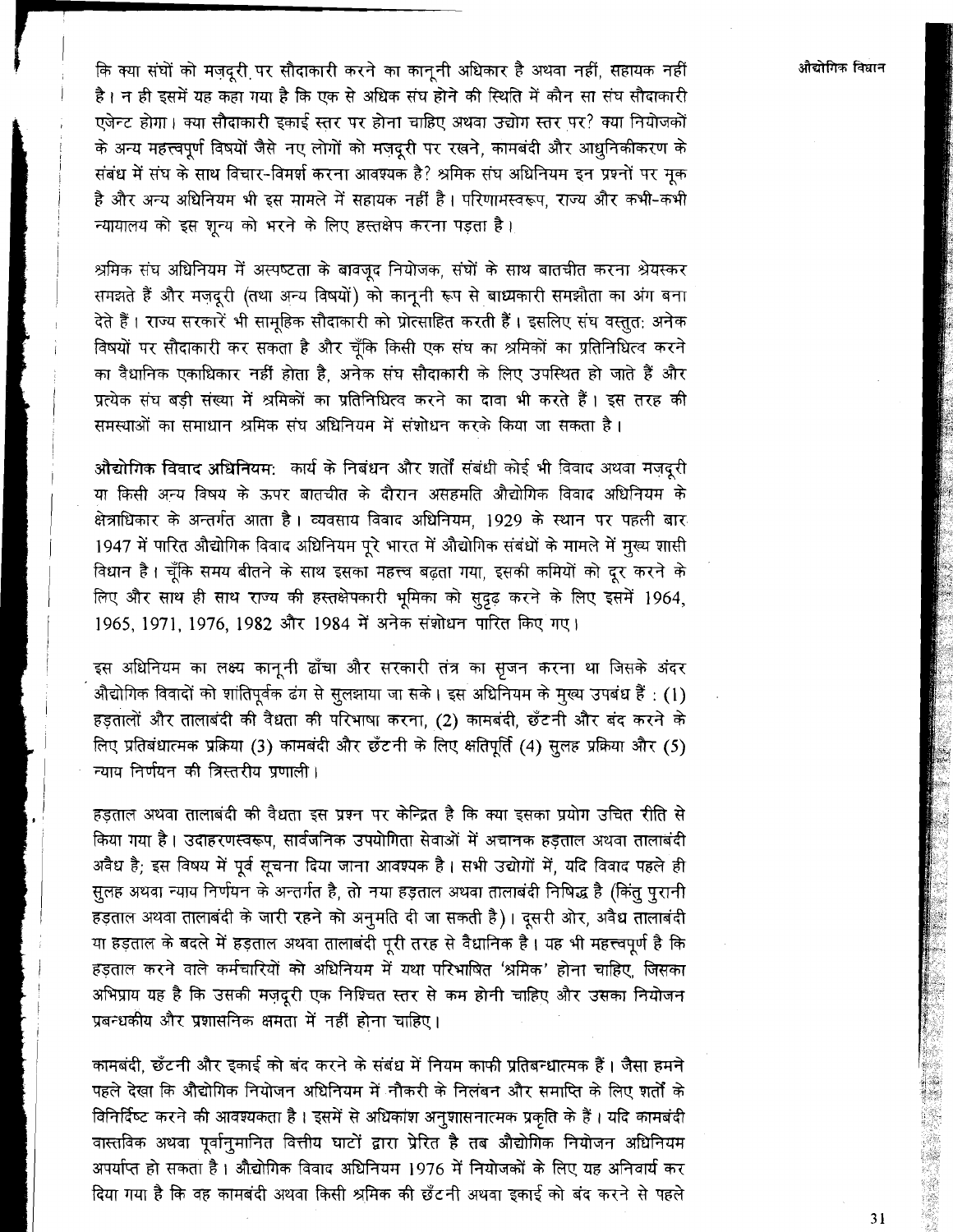कि क्या संघों को मज़दूरी पर सौदाकारी करने का कानूनी अधिकार है अथवा नहीं, सहायक नहीं है। न ही इसमें यह कहा गया है कि एक से अधिक संघ होने की स्थिति में कौन सा संघ सौदाकारी एजेन्ट होगा। क्या सौदाकारी इकाई स्तर पर होना चाहिए अथवा उद्योग स्तर पर? क्या नियोजकों के अन्य महत्त्वपूर्ण विषयों जैसे नए लोगों को मजदूरी पर रखने, कामबंदी और आधुनिकीकरण के संबंध में संघ के साथ विचार-विमर्श करना आवश्यक है? श्रमिक संघ अधिनियम इन प्रश्नों पर मुक है और अन्य अधिनियम भी इस मामले में सहायक नहीं है। परिणामस्वरूप, राज्य और कभी-कभी न्यायालय को इस शन्य को भरने के लिए हस्तक्षेप करना पड़ता है।

श्रमिक संघ अधिनियम में अस्पष्टता के बावजूद नियोजक, संघों के साथ बातचीत करना श्रेयस्कर समझते हैं और मज़दूरी (तथा अन्य विषयों) को कानूनी रूप से बाध्यकारी समझौता का अंग बना देते हैं। राज्य सरकारें भी सामूहिक सौदाकारी को प्रोत्साहित करती हैं। इसलिए संघ वस्तुत: अनेक विषयों पर सौदाकारी कर सकता है और चूँकि किसी एक संघ का श्रमिकों का प्रतिनिधित्व करने का वैधानिक एकाधिकार नहीं होता है, अनेक संघ सौदाकारी के लिए उपस्थित हो जाते हैं और प्रत्येक संघ बड़ी संख्या में श्रमिकों का प्रतिनिधित्व करने का दावा भी करते हैं। इस तरह की समस्याओं का समाधान श्रमिक संघ अधिनियम में संशोधन करके किया जा सकता है।

औद्योगिक विवाद अधिनियम: कार्य के निबंधन और शर्तों संबंधी कोई भी विवाद अथवा मजदूरी या किसी अन्य विषय के ऊपर बातचीत के दौरान असहमति औद्योगिक विवाद अधिनियम के क्षेत्राधिकार के अन्तर्गत आता है। व्यवसाय विवाद अधिनियम, 1929 के स्थान पर पहली बार 1947 में पारित औद्योगिक विवाद अधिनियम पूरे भारत में औद्योगिक संबंधों के मामले में मूख्य शासी विधान है। चूँकि समय बीतने के साथ इसका महत्त्व बढ़ता गया, इसकी कमियों को दूर करने के लिए और साथ ही साथ राज्य की हस्तक्षेपकारी भूमिका को सुदृढ़ करने के लिए इसमें 1964, 1965, 1971, 1976, 1982 और 1984 में अनेक संशोधन पारित किए गए।

इस अधिनियम का लक्ष्य कानूनी ढाँचा और सरकारी तंत्र का सृजन करना था जिसके अंदर औद्योगिक विवादों को शांतिपूर्वक ढंग से सूलझाया जा सके। इस अधिनियम के मूख्य उपबंध हैं : (1) हड़तालों और तालाबंदी की वैधता की परिभाषा करना, (2) कामबंदी, छँटनी और बंद करने के लिए प्रतिबंधात्मक प्रक्रिया (3) कामबंदी और छँटनी के लिए क्षतिपूर्ति (4) सूलह प्रक्रिया और (5) न्याय निर्णयन की त्रिस्तरीय प्रणाली।

हड़ताल अथवा तालाबंदी की वैधता इस प्रश्न पर केन्द्रित है कि क्या इसका प्रयोग उचित रीति से किया गया है। उदाहरणस्वरूप, सार्वजनिक उपयोगिता सेवाओं में अचानक हड़ताल अथवा तालाबंदी अवैध है; इस विषय में पूर्व सूचना दिया जाना आवश्यक है। सभी उद्योगों में, यदि विवाद पहले ही सूलह अथवा न्याय निर्णयन के अन्तर्गत है, तो नया हड़ताल अथवा तालाबंदी निषिद्ध है (किंतु पुरानी हड़ताल अथवा तालाबंदी के जारी रहने को अनुमति दी जा सकती है)। दूसरी ओर, अवैध तालाबंदी या हड़ताल के बदले में हड़ताल अथवा तालाबंदी पूरी तरह से वैधानिक है। यह भी महत्त्वपूर्ण है कि हड़ताल करने वाले कर्मचारियों को अधिनियम में यथा परिभाषित 'श्रमिक' होना चाहिए, जिसका अभिप्राय यह है कि उसकी मज़दूरी एक निश्चित स्तर से कम होनी चाहिए और उसका नियोजन प्रबन्धकीय और प्रशासनिक क्षमता में नहीं होना चाहिए।

कामबंदी, छँटनी और इकाई को बंद करने के संबंध में नियम काफी प्रतिबन्धात्मक हैं । जैसा हमने पहले देखा कि औद्योगिक नियोजन अधिनियम में नौकरी के निलंबन और समाप्ति के लिए शर्तों के विनिर्दिष्ट करने की आवश्यकता है। इसमें से अधिकांश अनुशासनात्मक प्रकृति के हैं। यदि कामबंदी वास्तविक अथवा पूर्वानुमानित वित्तीय घाटों द्वारा प्रेरित है तब औद्योगिक नियोजन अधिनियम अपर्याप्त हो सकता है। औद्योगिक विवाद अधिनियम 1976 में नियोजकों के लिए यह अनिवार्य कर दिया गया है कि वह कामबंदी अथवा किसी श्रमिक की छँटनी अथवा इकाई को बंद करने से पहले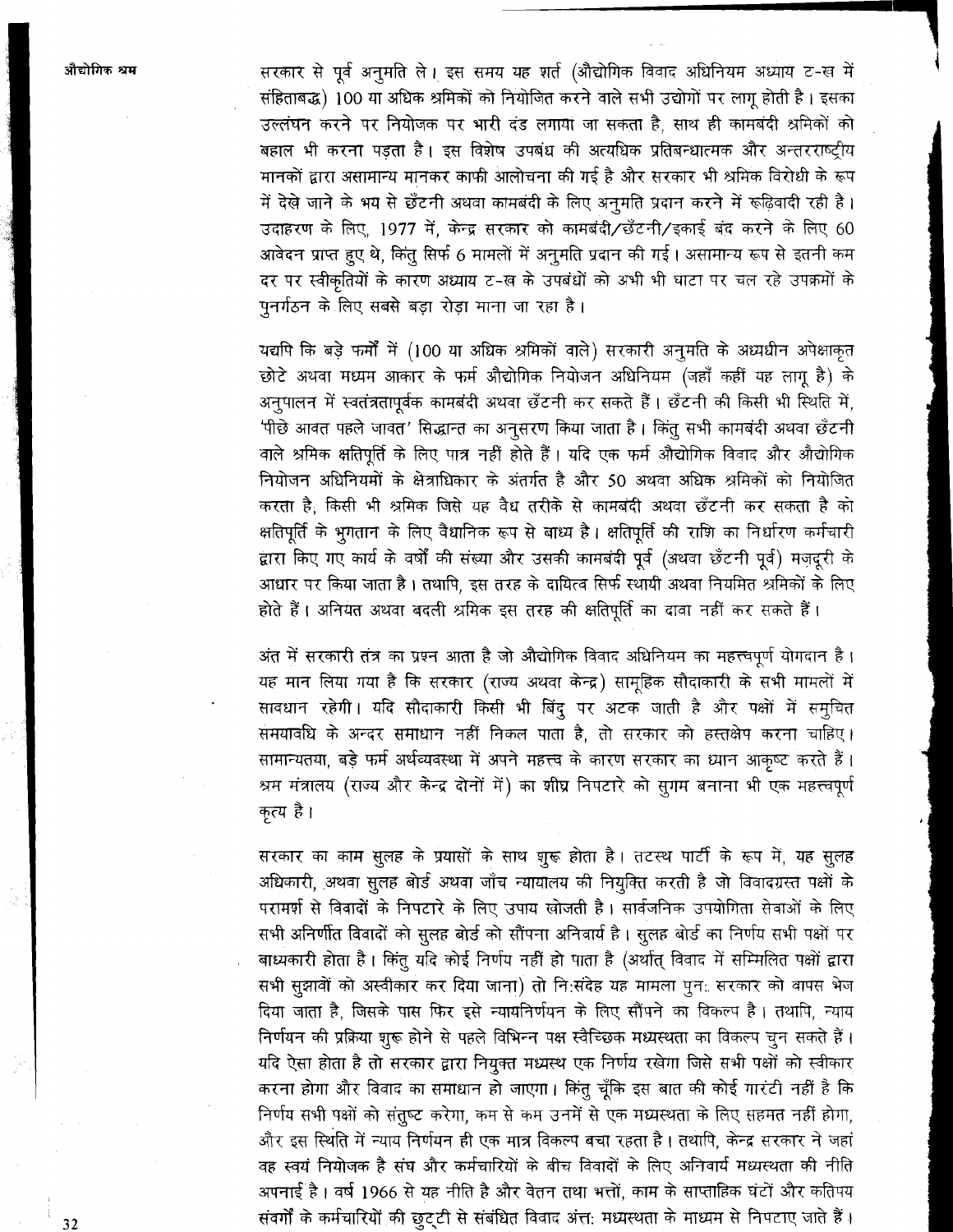सरकार से पूर्व अनुमति ले। इस समय यह शर्त (औद्योगिक विवाद अधिनियम अध्याय ट-ख में संहिताबद्ध) 100 या अधिक श्रमिकों को नियोजित करने वाले सभी उद्योगों पर लागू होती है। इसका उल्लंघन करने पर नियोजक पर भारी दंड लगाया जा सकता है, साथ ही कामबंदी श्रमिकों को बहाल भी करना पड़ता है। इस विशेष उपबंध की अत्यधिक प्रतिबन्धात्मक और अन्तरराष्ट्रीय मानकों द्वारा असामान्य मानकर काफी आलोचना की गई है और सरकार भी श्रमिक विरोधी के रूप में देखे जाने के भय से छँटनी अथवा कामबंदी के लिए अनुमति प्रदान करने में रूढ़िवादी रही है। उदाहरण के लिए, 1977 में, केन्द्र सरकार को कामबंदी/छँटनी/इकाई बंद करने के लिए 60 आवेदन प्राप्त हुए थे, किंतु सिर्फ 6 मामलों में अनुमति प्रदान की गई। असामान्य रूप से इतनी कम दर पर स्वीकृतियों के कारण अध्याय ट-ख के उपबंधों को अभी भी घाटा पर चल रहे उपक्रमों के पुनर्गठन के लिए सबसे बड़ा रोड़ा माना जा रहा है।

यद्यपि कि बड़े फर्मों में (100 या अधिक श्रमिकों वाले) सरकारी अनुमति के अध्यधीन अपेक्षाकृत छोटे अथवा मध्यम आकार के फर्म औद्योगिक नियोजन अधिनियम (जहाँ कहीं यह लागू है) के अनुपालन में स्वतंत्रतापूर्वक कामबंदी अथवा छँटनी कर सकते हैं। छँटनी की किसी भी स्थिति में, 'पीछे आवत पहले जावत' सिद्धान्त का अनुसरण किया जाता है। किंतु सभी कामबंदी अथवा छँटनी वाले श्रमिक क्षतिपूर्ति के लिए पात्र नहीं होते हैं। यदि एक फर्म औद्योगिक विवाद और औद्योगिक नियोजन अधिनियमों के क्षेत्राधिकार के अंतर्गत है और 50 अथवा अधिक श्रमिकों को नियोजित करता है, किसी भी श्रमिक जिसे यह वैध तरीके से कामबंदी अथवा छँटनी कर सकता है को क्षतिपूर्ति के भुगतान के लिए वैधानिक रूप से बाध्य है। क्षतिपूर्ति की राशि का निर्धारण कर्मचारी द्वारा किए गए कार्य के वर्षों की संख्या और उसकी कामबंदी पूर्व (अथवा छँटनी पूर्व) मज़दूरी के आधार पर किया जाता है। तथापि, इस तरह के दायित्व सिर्फ स्थायी अथवा नियमित श्रमिकों के लिए होते हैं। अनियत अथवा बदली श्रमिक इस तरह की क्षतिपूर्ति का दावा नहीं कर सकते हैं।

अंत में सरकारी तंत्र का प्रश्न आता है जो औद्योगिक विवाद अधिनियम का महत्त्वपूर्ण योगदान है। यह मान लिया गया है कि सरकार (राज्य अथवा केन्द्र) सामूहिक सौदाकारी के सभी मामलों में सावधान रहेगी। यदि सौदाकारी किसी भी बिंदू पर अटक जाती है और पक्षों में समुचित समयावधि के अन्दर समाधान नहीं निकल पाता है, तो सरकार को हस्तक्षेप करना चाहिए। सामान्यतया, बड़े फर्म अर्थव्यवस्था में अपने महत्त्व के कारण सरकार का ध्यान आकृष्ट करते हैं। श्रम मंत्रालय (राज्य और केन्द्र दोनों में) का शीघ्र निपटारे को सुगम बनाना भी एक महत्त्वपूर्ण कृत्य है।

सरकार का काम सुलह के प्रयासों के साथ शुरू होता है। तटस्थ पार्टी के रूप में, यह सुलह अधिकारी, अथवा सुलह बोर्ड अथवा जाँच न्यायालय की नियुक्ति करती है जो विवादग्रस्त पक्षों के परामर्श से विवादों के निपटारे के लिए उपाय खोजती है। सार्वजनिक उपयोगिता सेवाओं के लिए सभी अनिर्णीत विवादों को सूलह बोर्ड को सौंपना अनिवार्य है। सूलह बोर्ड का निर्णय सभी पक्षों पर बाध्यकारी होता है। किंतू यदि कोई निर्णय नहीं हो पाता है (अर्थात् विवाद में सम्मिलित पक्षों द्वारा सभी सूझावों को अस्वीकार कर दिया जाना) तो निःसंदेह यह मामला पून: सरकार को वापस भेज दिया जाता है, जिसके पास फिर इसे न्यायनिर्णयन के लिए सौंपने का विकल्प है। तथापि, न्याय निर्णयन की प्रक्रिया शुरू होने से पहले विभिन्न पक्ष स्वैच्छिक मध्यस्थता का विकल्प चुन सकते हैं। यदि ऐसा होता है तो सरकार द्वारा नियुक्त मध्यस्थ एक निर्णय रखेगा जिसे सभी पक्षों को स्वीकार करना होगा और विवाद का समाधान हो जाएगा। किंतु चूँकि इस बात की कोई गारंटी नहीं है कि निर्णय सभी पक्षों को संतुष्ट करेगा, कम से कम उनमें से एक मध्यस्थता के लिए सहमत नहीं होगा, और इस स्थिति में न्याय निर्णयन ही एक मात्र विकल्प बचा रहता है। तथापि, केन्द्र सरकार ने जहां वह स्वयं नियोजक है संघ और कर्मचारियों के बीच विवादों के लिए अनिवार्य मध्यस्थता की नीति अपनाई है। वर्ष 1966 से यह नीति है और वेतन तथा भत्तों, काम के साप्ताहिक घंटों और कतिपय संवर्गों के कर्मचारियों की छुट्टी से संबंधित विवाद अंत: मध्यस्थता के माध्यम से निपटाए जाते हैं।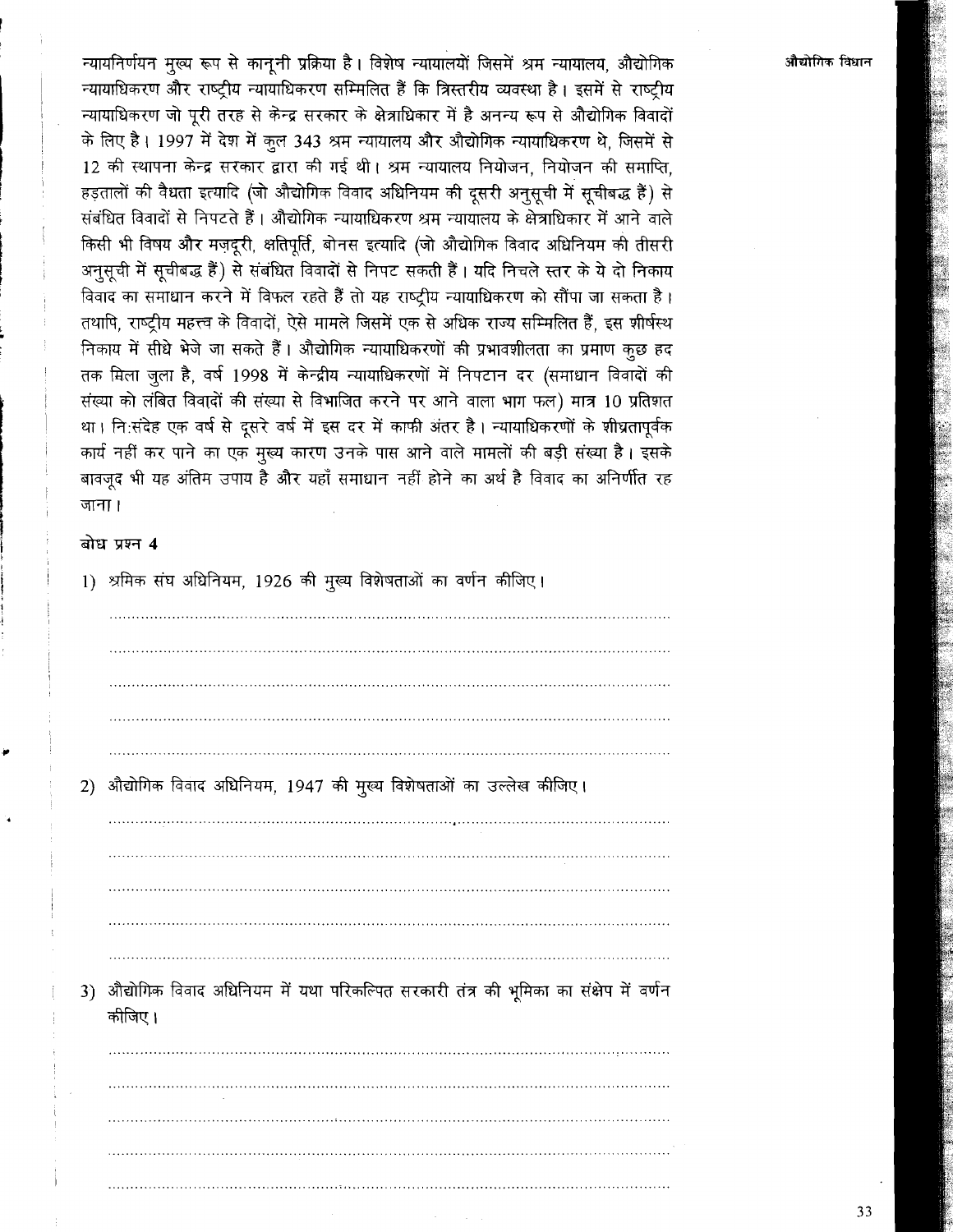न्यायनिर्णयन मुख्य रूप से कानृनी प्रक्रिया है। विशेष न्यायालयों जिसमें श्रम न्यायालय, औद्योगिक न्यायाधिकरण और राष्ट्रीय न्यायाधिकरण सम्मिलित हैं कि त्रिस्तरीय व्यवस्था है। इसमें से राष्ट्रीय न्यायाधिकरण जो पूरी तरह से केन्द्र सरकार के क्षेत्राधिकार में है अनन्य रूप से औद्योगिक विवादों के लिए है। 1997 में देश में कुल 343 श्रम न्यायालय और औद्योगिक न्यायाधिकरण थे, जिसमें से 12 की स्थापना केन्द्र सरकार द्वारा की गई थी। श्रम न्यायालय नियोजन, नियोजन की समाप्ति, हड़तालों की वैधता इत्यादि (जो औद्योगिक विवाद अधिनियम की दूसरी अनुसूची में सूचीबद्ध हैं) से संबंधित विवादों से निपटते हैं। औद्योगिक न्यायाधिकरण श्रम न्यायालय के क्षेत्राधिकार में आने वाले किसी भी विषय और मज़दूरी, क्षतिपूर्ति, बोनस इत्यादि (जो औद्योगिक विवाद अधिनियम को तीसरी अनूसूची में सूचीबद्ध हैं) से संबंधित विवादों से निपट सकती हैं। यदि निचले स्तर के ये दो निकाय विवाद का समाधान करने में विफल रहते हैं तो यह राष्ट्रीय न्यायाधिकरण को सौंपा जा सकता है। तथापि, राष्ट्रीय महत्त्व के विवादों, ऐसे मामले जिसमें एक से अधिक राज्य सम्मिलित हैं, इस शीर्षस्थ निकाय में सीधे भेजे जा सकते हैं। औद्योगिक न्यायाधिकरणों की प्रभावशीलता का प्रमाण कूछ हद तक मिला जुला है, वर्ष 1998 में केन्द्रीय न्यायाधिकरणों में निपटान दर (समाधान विवादों की संख्या को लंबित विवादों की संख्या से विभाजित करने पर आने वाला भाग फल) मात्र 10 प्रतिशत था। नि:संदेह एक वर्ष से दूसरे वर्ष में इस दर में काफी अंतर है। न्यायाधिकरणों के शीघ्रतापूर्वक कार्य नहीं कर पाने का एक मुख्य कारण उनके पास आने वाले मामलों की बड़ी संख्या है। इसके बावजूद भी यह अंतिम उपाय है और यहाँ समाधान नहीं होने का अर्थ है विवाद का अनिर्णीत रह जाना ।

#### बोध प्रश्न 4

1) श्रमिक संघ अधिनियम, 1926 की मुख्य विशेषताओं का वर्णन कीजिए।

| 2) | औद्योगिक विवाद अधिनियम, 1947 की मुख्य विशेषताओं का उल्लेख कीजिए।                               |
|----|------------------------------------------------------------------------------------------------|
|    |                                                                                                |
|    |                                                                                                |
|    |                                                                                                |
|    |                                                                                                |
|    |                                                                                                |
| 3) | औद्योगिक विवाद अधिनियम में यथा परिकल्पित सरकारी तंत्र की भूमिका का संक्षेप में वर्णन<br>कीजिए। |
|    |                                                                                                |
|    |                                                                                                |
|    |                                                                                                |
|    |                                                                                                |
|    |                                                                                                |
|    |                                                                                                |
|    | <b>Contract</b>                                                                                |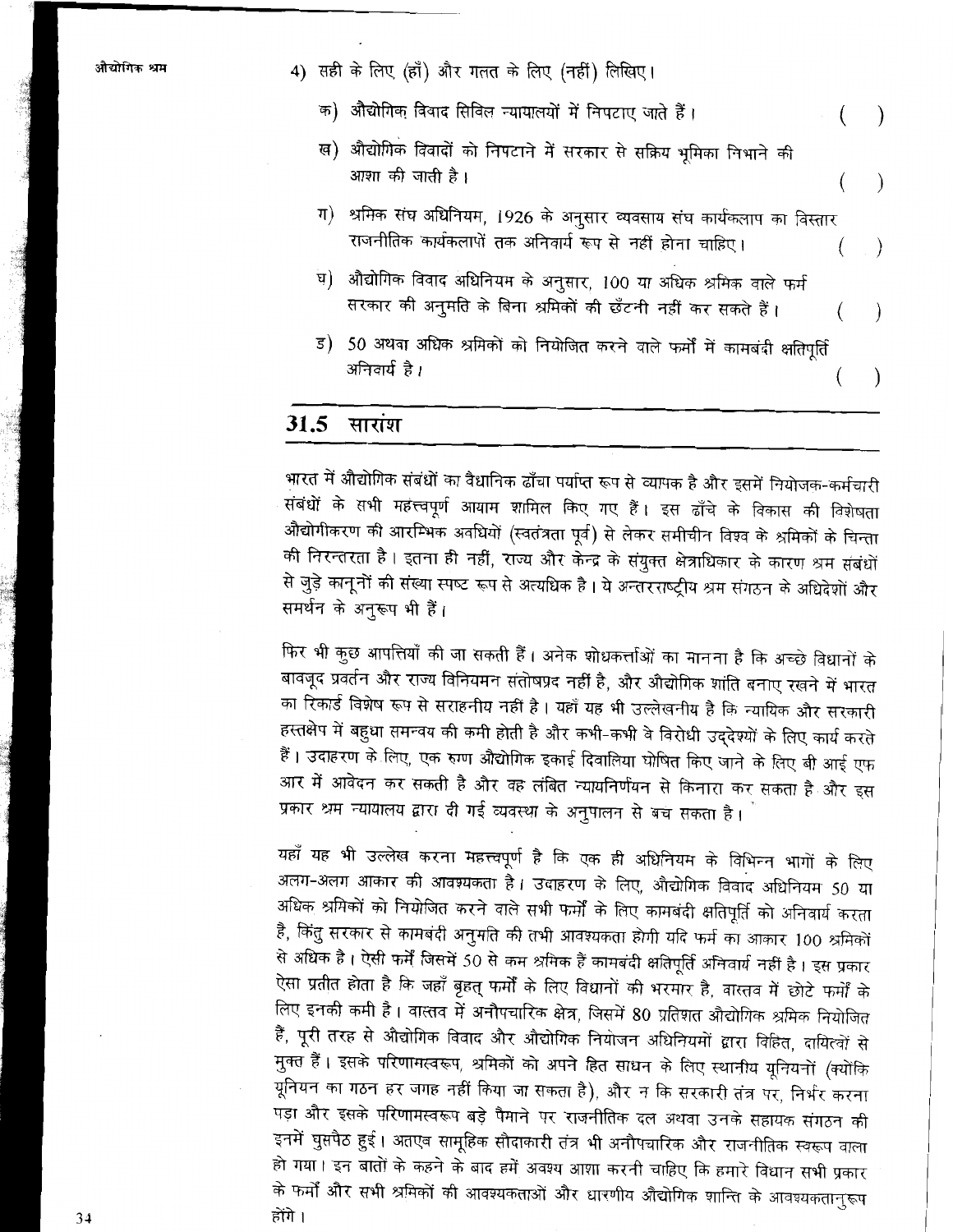- क) औद्योगिक विवाद सिविल न्यायालयों में निपटाए जाते हैं।  $\lambda$
- ख) औद्योगिक विवादों को निपटाने में सरकार से सक्रिय भूमिका निभाने की आशा की जाती है।
- ग) श्रमिक संघ अधिनियम, 1926 के अनुसार व्यवसाय संघ कार्यकलाप का विस्तार राजनीतिक कार्यकलापों तक अनिवार्य रूप से नहीं होना चाहिए।
- ध) औद्योगिक विवाद अधिनियम के अनुसार, 100 या अधिक श्रमिक वाले फर्म सरकार की अनुमति के बिना श्रमिकों की छँटनी नहीं कर सकते हैं।
- ड) 50 अथवा अधिक श्रमिकों को नियोजित करने वाले फर्मों में कामबंदी क्षतिपूर्ति अनिवार्य है।

#### 31.5 सारांश

भारत में औद्योगिक संबंधों का वैधानिक ढाँचा पर्याप्त रूप से व्यापक है और इसमें नियोजक-कर्मचारी संबंधों के सभी महत्त्वपूर्ण आयाम शामिल किए गए हैं। इस ढाँचे के विकास की विशेषता औद्योगीकरण की आरम्भिक अवधियों (स्वतंत्रता पूर्व) से लेकर समीचीन विश्व के श्रमिकों के चिन्ता की निरन्तरता है। इतना ही नहीं, राज्य और केन्द्र के संयुक्त क्षेत्राधिकार के कारण श्रम संबंधों से जुड़े कानूनों की संख्या स्पष्ट रूप से अत्यधिक है। ये अन्तरराष्ट्रीय श्रम संगठन के अधिदेशों और समर्थन के अनुरूप भी हैं।

फिर भी कुछ आपत्तियाँ की जा सकती हैं। अनेक शोधकर्त्ताओं का मानना है कि अच्छे विधानों के बावजूद प्रवर्तन और राज्य विनियमन संतोषप्रद नहीं है, और औद्योगिक शांति बनाए रखने में भारत का रिकार्ड विशेष रूप से सराहनीय नहीं है। यहाँ यह भी उल्लेखनीय है कि न्यायिक और सरकारी हस्तक्षेप में बहुधा समन्वय की कमी होती है और कभी-कभी वे विरोधी उद्देश्यों के लिए कार्य करते हैं। उदाहरण के लिए, एक रुग्ण औद्योगिक इकाई दिवालिया घोषित किए जाने के लिए बी आई एफ आर में आवेदन कर सकती है और वह लंबित न्यायनिर्णयन से किनारा कर सकता है और इस प्रकार श्रम न्यायालय द्वारा दी गई व्यवस्था के अनुपालन से बच सकता है।

यहाँ यह भी उल्लेख करना महत्त्वपूर्ण है कि एक ही अधिनियम के विभिन्न भागों के लिए अलग-अलग आकार की आवश्यकता है। उदाहरण के लिए, औद्योगिक विवाद अधिनियम 50 या अधिक श्रमिकों को नियोजित करने वाले सभी फर्मों के लिए कामबंदी क्षतिपूर्ति को अनिवार्य करता है, किंतु सरकार से कामबंदी अनुमति की तभी आवश्यकता होगी यदि फर्म का आकार 100 श्रमिकों से अधिक है । ऐसी फर्में जिसमें 50 से कम श्रमिक हैं कामबंदी क्षतिपूर्ति अनिवार्य नहीं है । इस प्रकार ऐसा प्रतीत होता है कि जहाँ बृहत् फर्मों के लिए विधानों की भरमार है, वास्तव में छोटे फर्मों के लिए इनकी कमी है। वास्तव में अनौपचारिक क्षेत्र, जिसमें 80 प्रतिशत औद्योगिक श्रमिक नियोजित हैं, पूरी तरह से औद्योगिक विवाद और औद्योगिक नियोजन अधिनियमों द्वारा विहित, दायित्वों से मुक्त हैं। इसके परिणामस्वरूप, श्रमिकों को अपने हित साधन के लिए स्थानीय यूनियनों (क्योंकि यूनियन का गठन हर जगह नहीं किया जा सकता है), और न कि सरकारी तंत्र पर, निर्भर करना पड़ा और इसके परिणामस्वरूप बड़े पैमाने पर राजनीतिक दल अथवा उनके सहायक संगठन की इनमें घुसपैठ हुई। अतएव सामूहिक सौदाकारी तंत्र भी अनौपचारिक और राजनीतिक स्वरूप वाला हो गया। इन बातों के कहने के बाद हमें अवश्य आशा करनी चाहिए कि हमारे विधान सभी प्रकार के फर्मों और सभी श्रमिकों की आवश्यकताओं और धारणीय औद्योगिक शान्ति के आवश्यकतानुरूप होंगे ।

<sup>4)</sup> सही के लिए (हाँ) और गलत के लिए (नहीं) लिखिए।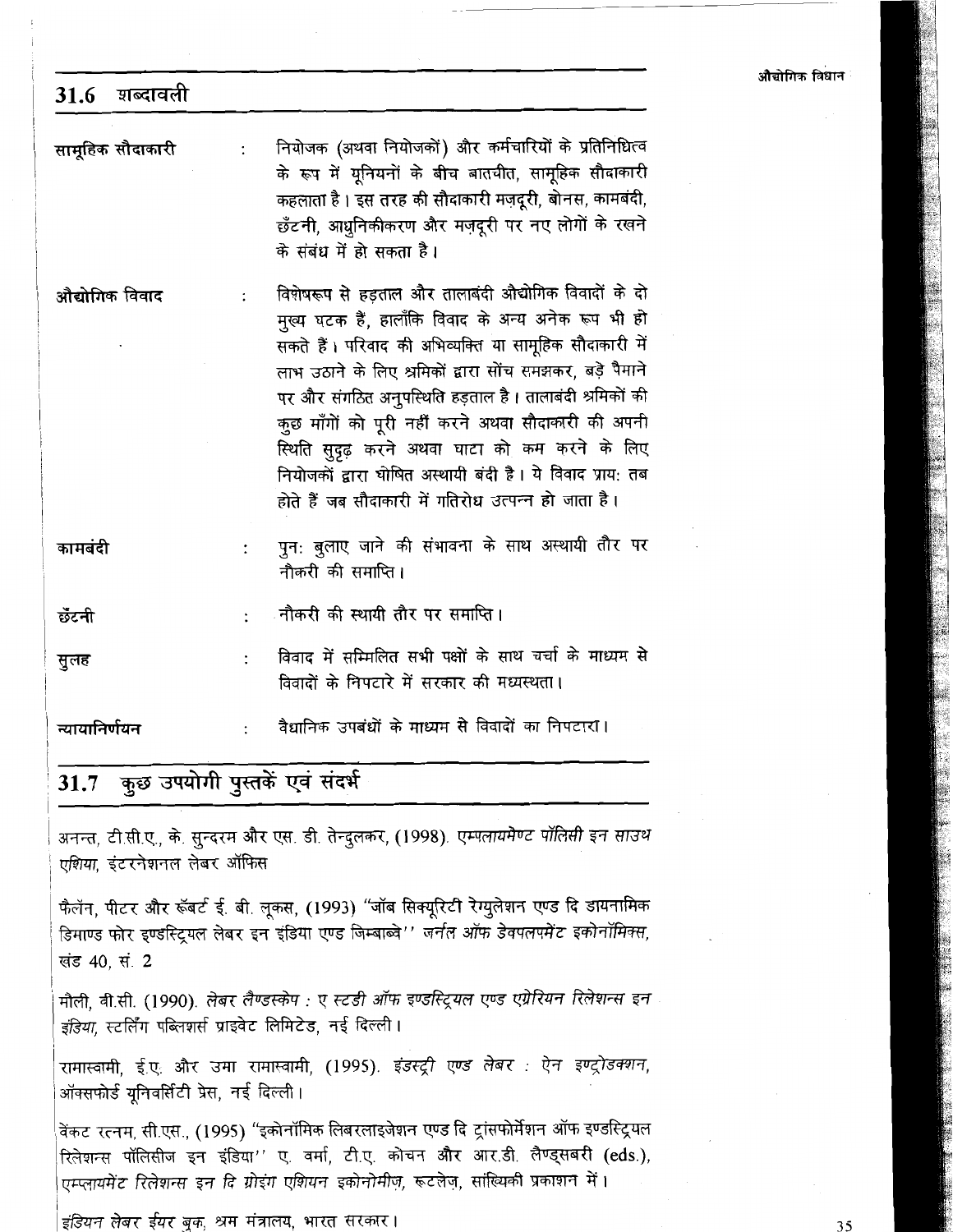|  | औद्योगिक विधान |  |
|--|----------------|--|

| शब्दावली<br>31.6           |                                                                                                                                                                                                                                                                                                                                                                                                                                                                                                                           |
|----------------------------|---------------------------------------------------------------------------------------------------------------------------------------------------------------------------------------------------------------------------------------------------------------------------------------------------------------------------------------------------------------------------------------------------------------------------------------------------------------------------------------------------------------------------|
| सामूहिक सौदाकारी           | नियोजक (अथवा नियोजकों) और कर्मचारियों के प्रतिनिधित्व<br>के रूप में यूनियनों के बीच बातचीत, सामूहिक सौदाकारी<br>कहलाता है । इस तरह की सौदाकारी मज़दूरी, बोनस, कामबंदी,<br>छँटनी, आधुनिकीकरण और मज़दूरी पर नए लोगों के रखने<br>के संबंध में हो सकता है।                                                                                                                                                                                                                                                                    |
| औद्योगिक विवाद             | विशेषरूप से हड़ताल और तालाबंदी औद्योगिक विवादों के दो<br>मुख्य घटक हैं, हालाँकि विवाद के अन्य अनेक रूप भी हो<br>सकते हैं। परिवाद की अभिव्यक्ति या सामूहिक सौदाकारी में<br>लाभ उठाने के लिए श्रमिकों द्वारा सोंच समझकर, बड़े पैमाने<br>पर और संगठित अनुपस्थिति हड़ताल है। तालाबंदी श्रमिकों की<br>कुछ माँगों को पूरी नहीं करने अथवा सौदाकारी की अपनी<br>स्थिति सुदृढ़ करने अथवा घाटा को कम करने के लिए<br>नियोजकों द्वारा घोषित अस्थायी बंदी है। ये विवाद प्राय: तब<br>होते हैं जब सौदाकारी में गतिरोध उत्पन्न हो जाता है। |
| कामबंदी                    | पुन: बुलाए जाने की संभावना के साथ अस्थायी तौर पर<br>नौकरी की समाप्ति।                                                                                                                                                                                                                                                                                                                                                                                                                                                     |
| छँटनी                      | <sub>्</sub> नौकरी की स्थायी तौर पर समाप्ति।                                                                                                                                                                                                                                                                                                                                                                                                                                                                              |
| सुलह                       | विवाद में सम्मिलित सभी पक्षों के साथ चर्चा के माध्यम से<br>विवादों के निपटारे में सरकार की मध्यस्थता।                                                                                                                                                                                                                                                                                                                                                                                                                     |
| न्यायानिर्णयन              | वैधानिक उपबंधों के माध्यम से विवादों का निपटारा।                                                                                                                                                                                                                                                                                                                                                                                                                                                                          |
|                            | 31.7 कुछ उपयोगी पुस्तकें एवं संदर्भ                                                                                                                                                                                                                                                                                                                                                                                                                                                                                       |
| एशिया, इंटरनेशनल लेबर ऑफिस | अनन्त, टी.सी.ए., के. सुन्दरम और एस. डी. तेन्दुलकर, (1998). एम्पलायमेण्ट पॉलिसी इन साउथ                                                                                                                                                                                                                                                                                                                                                                                                                                    |
|                            | फैलॅन, पीटर और रूॅबर्ट ई. बी. लूकस, (1993) ''जॉब सिक्यूरिटी रेग्युलेशन एण्ड दि डायनामिक<br>डिमाण्ड फोर इण्डस्ट्रियल लेबर इन इंडिया एण्ड जिम्बाब्वे'' जर्नल ऑफ डेवपलपमेंट इकोनॉमिक्स,                                                                                                                                                                                                                                                                                                                                      |

खंड 40, सं. 2

मौली, वी.सी. (1990). लेबर लैण्डस्केप : ए स्टडी ऑफ इण्डस्ट्रियल एण्ड एग्रेरियन रिलेशन्स इन इंडिया, स्टर्लिंग पब्लिशर्स प्राइवेट लिमिटेड, नई दिल्ली।

रामास्वामी, ई.ए. और उमा रामास्वामी, (1995). इंडस्ट्री एण्ड लेबर : ऐन इण्ट्रोडक्शन, ऑक्सफोर्ड यूनिवर्सिटी प्रेस, नई दिल्ली।

वेंकट रत्नम, सी.एस., (1995) "इकोनॉमिक लिबरलाइजेशन एण्ड दि ट्रांसफोर्मेशन ऑफ इण्डस्ट्रियल रिलेशन्स पॉलिसीज इन इंडिया'' ए. वर्मा, टी.ए. कोचन और आर.डी. लैण्ड्सबरी (eds.), एम्प्लायमेंट रिलेशन्स इन दि ग्रोइंग एशियन इकोनोमीज़, रूटलेज़, सांख्यिकी प्रकाशन में।

इंडियन लेबर ईयर बुक, श्रम मंत्रालय, भारत सरकार।